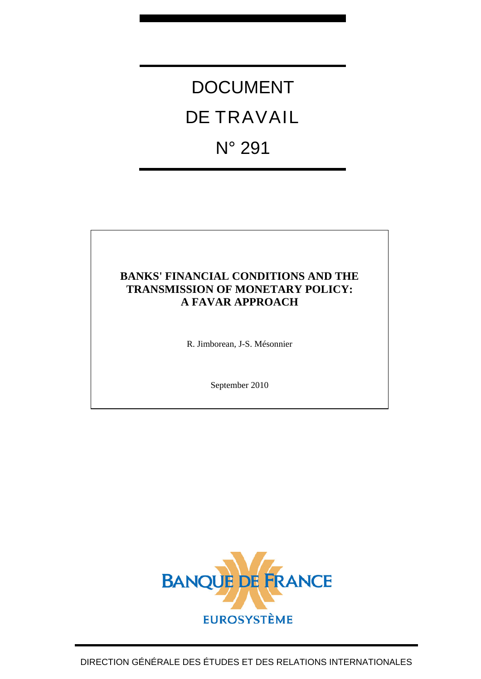# DOCUMENT DE TRAVAIL N° 291

# **BANKS' FINANCIAL CONDITIONS AND THE TRANSMISSION OF MONETARY POLICY: A FAVAR APPROACH**

R. Jimborean, J-S. Mésonnier

September 2010

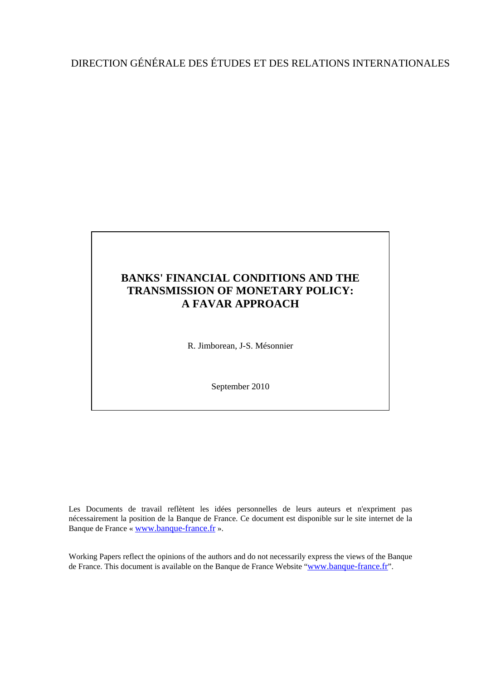# DIRECTION GÉNÉRALE DES ÉTUDES ET DES RELATIONS INTERNATIONALES

# **BANKS' FINANCIAL CONDITIONS AND THE TRANSMISSION OF MONETARY POLICY: A FAVAR APPROACH**

R. Jimborean, J-S. Mésonnier

September 2010

Les Documents de travail reflètent les idées personnelles de leurs auteurs et n'expriment pas nécessairement la position de la Banque de France. Ce document est disponible sur le site internet de la Banque de France « www.banque-france.fr ».

Working Papers reflect the opinions of the authors and do not necessarily express the views of the Banque de France. This document is available on the Banque de France Website "www.banque-france.fr".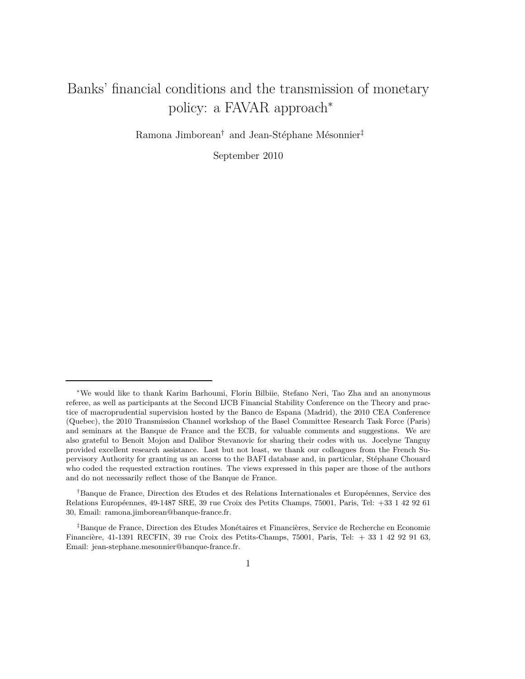# Banks' financial conditions and the transmission of monetary policy: a FAVAR approach*<sup>∗</sup>*

Ramona Jimborean<sup>†</sup> and Jean-Stéphane Mésonnier<sup>‡</sup>

September 2010

*<sup>∗</sup>*We would like to thank Karim Barhoumi, Florin Bilbiie, Stefano Neri, Tao Zha and an anonymous referee, as well as participants at the Second IJCB Financial Stability Conference on the Theory and practice of macroprudential supervision hosted by the Banco de Espana (Madrid), the 2010 CEA Conference (Quebec), the 2010 Transmission Channel workshop of the Basel Committee Research Task Force (Paris) and seminars at the Banque de France and the ECB, for valuable comments and suggestions. We are also grateful to Benoît Mojon and Dalibor Stevanovic for sharing their codes with us. Jocelyne Tanguy provided excellent research assistance. Last but not least, we thank our colleagues from the French Supervisory Authority for granting us an access to the BAFI database and, in particular, Stéphane Chouard who coded the requested extraction routines. The views expressed in this paper are those of the authors and do not necessarily reflect those of the Banque de France.

*<sup>†</sup>*Banque de France, Direction des Etudes et des Relations Internationales et Européennes, Service des Relations Européennes, 49-1487 SRE, 39 rue Croix des Petits Champs, 75001, Paris, Tel: +33 1 42 92 61 30, Email: ramona.jimborean@banque-france.fr.

*<sup>‡</sup>*Banque de France, Direction des Etudes Monétaires et Financières, Service de Recherche en Economie Financière, 41-1391 RECFIN, 39 rue Croix des Petits-Champs, 75001, Paris, Tel: + 33 1 42 92 91 63, Email: jean-stephane.mesonnier@banque-france.fr.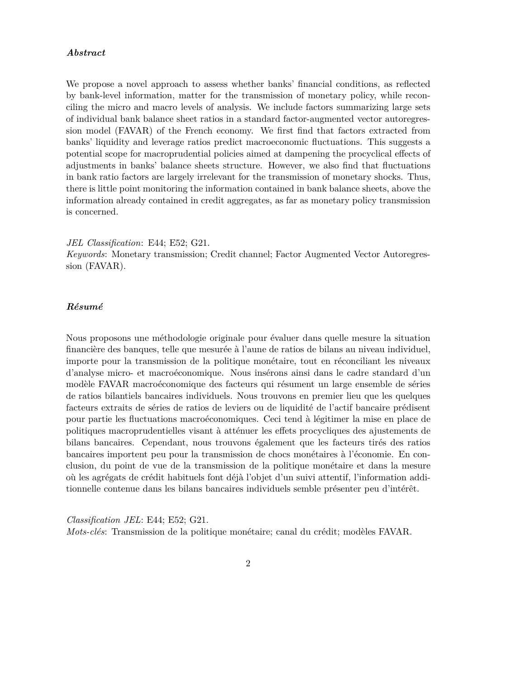#### *Abstract*

We propose a novel approach to assess whether banks' financial conditions, as reflected by bank-level information, matter for the transmission of monetary policy, while reconciling the micro and macro levels of analysis. We include factors summarizing large sets of individual bank balance sheet ratios in a standard factor-augmented vector autoregression model (FAVAR) of the French economy. We first find that factors extracted from banks' liquidity and leverage ratios predict macroeconomic fluctuations. This suggests a potential scope for macroprudential policies aimed at dampening the procyclical effects of adjustments in banks' balance sheets structure. However, we also find that fluctuations in bank ratio factors are largely irrelevant for the transmission of monetary shocks. Thus, there is little point monitoring the information contained in bank balance sheets, above the information already contained in credit aggregates, as far as monetary policy transmission is concerned.

*JEL Classification*: E44; E52; G21.

*Keywords*: Monetary transmission; Credit channel; Factor Augmented Vector Autoregression (FAVAR).

#### *Résumé*

Nous proposons une méthodologie originale pour évaluer dans quelle mesure la situation financière des banques, telle que mesurée à l'aune de ratios de bilans au niveau individuel, importe pour la transmission de la politique monétaire, tout en réconciliant les niveaux d'analyse micro- et macroéconomique. Nous insérons ainsi dans le cadre standard d'un modèle FAVAR macroéconomique des facteurs qui résument un large ensemble de séries de ratios bilantiels bancaires individuels. Nous trouvons en premier lieu que les quelques facteurs extraits de séries de ratios de leviers ou de liquidité de l'actif bancaire prédisent pour partie les fluctuations macroéconomiques. Ceci tend à légitimer la mise en place de politiques macroprudentielles visant à atténuer les effets procycliques des ajustements de bilans bancaires. Cependant, nous trouvons également que les facteurs tirés des ratios bancaires importent peu pour la transmission de chocs monétaires à l'économie. En conclusion, du point de vue de la transmission de la politique monétaire et dans la mesure où les agrégats de crédit habituels font déjà l'objet d'un suivi attentif, l'information additionnelle contenue dans les bilans bancaires individuels semble présenter peu d'intérêt.

*Classification JEL*: E44; E52; G21.

*Mots-clés*: Transmission de la politique monétaire; canal du crédit; modèles FAVAR.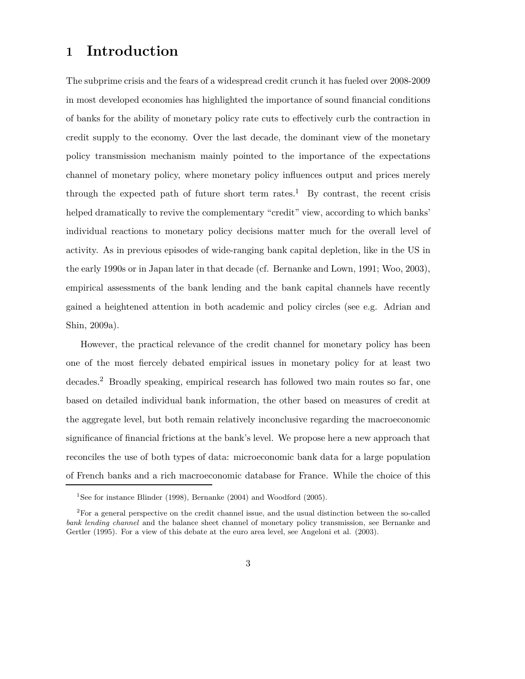# **1 Introduction**

The subprime crisis and the fears of a widespread credit crunch it has fueled over 2008-2009 in most developed economies has highlighted the importance of sound financial conditions of banks for the ability of monetary policy rate cuts to effectively curb the contraction in credit supply to the economy. Over the last decade, the dominant view of the monetary policy transmission mechanism mainly pointed to the importance of the expectations channel of monetary policy, where monetary policy influences output and prices merely through the expected path of future short term rates.<sup>1</sup> By contrast, the recent crisis helped dramatically to revive the complementary "credit" view, according to which banks' individual reactions to monetary policy decisions matter much for the overall level of activity. As in previous episodes of wide-ranging bank capital depletion, like in the US in the early 1990s or in Japan later in that decade (cf. Bernanke and Lown, 1991; Woo, 2003), empirical assessments of the bank lending and the bank capital channels have recently gained a heightened attention in both academic and policy circles (see e.g. Adrian and Shin, 2009a).

However, the practical relevance of the credit channel for monetary policy has been one of the most fiercely debated empirical issues in monetary policy for at least two decades.<sup>2</sup> Broadly speaking, empirical research has followed two main routes so far, one based on detailed individual bank information, the other based on measures of credit at the aggregate level, but both remain relatively inconclusive regarding the macroeconomic significance of financial frictions at the bank's level. We propose here a new approach that reconciles the use of both types of data: microeconomic bank data for a large population of French banks and a rich macroeconomic database for France. While the choice of this

<sup>&</sup>lt;sup>1</sup>See for instance Blinder (1998), Bernanke (2004) and Woodford (2005).

<sup>2</sup>For a general perspective on the credit channel issue, and the usual distinction between the so-called *bank lending channel* and the balance sheet channel of monetary policy transmission, see Bernanke and Gertler (1995). For a view of this debate at the euro area level, see Angeloni et al. (2003).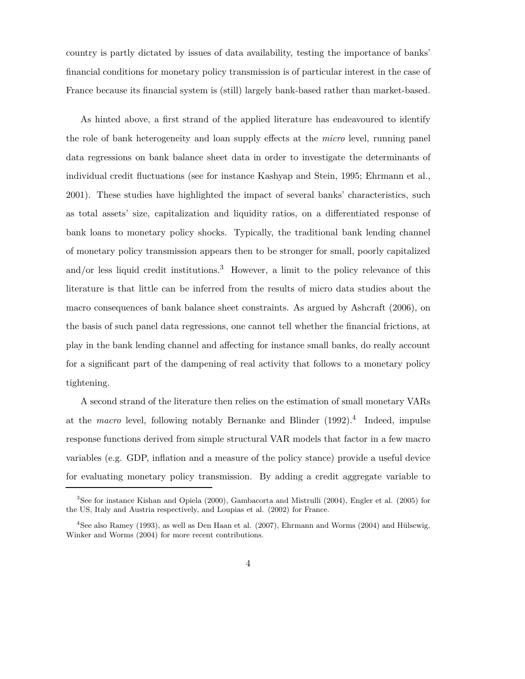country is partly dictated by issues of data availability, testing the importance of banks' financial conditions for monetary policy transmission is of particular interest in the case of France because its financial system is (still) largely bank-based rather than market-based.

As hinted above, a first strand of the applied literature has endeavoured to identify the role of bank heterogeneity and loan supply effects at the *micro* level, running panel data regressions on bank balance sheet data in order to investigate the determinants of individual credit fluctuations (see for instance Kashyap and Stein, 1995; Ehrmann et al., 2001). These studies have highlighted the impact of several banks' characteristics, such as total assets' size, capitalization and liquidity ratios, on a differentiated response of bank loans to monetary policy shocks. Typically, the traditional bank lending channel of monetary policy transmission appears then to be stronger for small, poorly capitalized and/or less liquid credit institutions.<sup>3</sup> However, a limit to the policy relevance of this literature is that little can be inferred from the results of micro data studies about the macro consequences of bank balance sheet constraints. As argued by Ashcraft (2006), on the basis of such panel data regressions, one cannot tell whether the financial frictions, at play in the bank lending channel and affecting for instance small banks, do really account for a significant part of the dampening of real activity that follows to a monetary policy tightening.

A second strand of the literature then relies on the estimation of small monetary VARs at the *macro* level, following notably Bernanke and Blinder (1992).<sup>4</sup> Indeed, impulse response functions derived from simple structural VAR models that factor in a few macro variables (e.g. GDP, inflation and a measure of the policy stance) provide a useful device for evaluating monetary policy transmission. By adding a credit aggregate variable to

<sup>3</sup> See for instance Kishan and Opiela (2000), Gambacorta and Mistrulli (2004), Engler et al. (2005) for the US, Italy and Austria respectively, and Loupias et al. (2002) for France.

 $4$ See also Ramey (1993), as well as Den Haan et al. (2007), Ehrmann and Worms (2004) and Hülsewig, Winker and Worms (2004) for more recent contributions.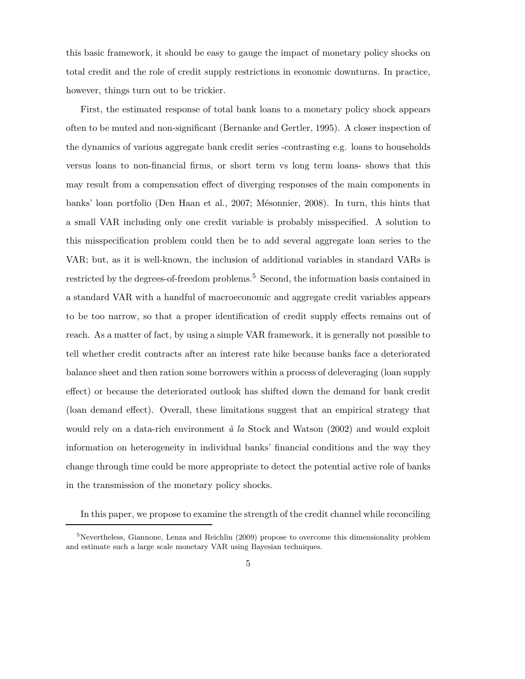this basic framework, it should be easy to gauge the impact of monetary policy shocks on total credit and the role of credit supply restrictions in economic downturns. In practice, however, things turn out to be trickier.

First, the estimated response of total bank loans to a monetary policy shock appears often to be muted and non-significant (Bernanke and Gertler, 1995). A closer inspection of the dynamics of various aggregate bank credit series -contrasting e.g. loans to households versus loans to non-financial firms, or short term vs long term loans- shows that this may result from a compensation effect of diverging responses of the main components in banks' loan portfolio (Den Haan et al., 2007; Mésonnier, 2008). In turn, this hints that a small VAR including only one credit variable is probably misspecified. A solution to this misspecification problem could then be to add several aggregate loan series to the VAR; but, as it is well-known, the inclusion of additional variables in standard VARs is restricted by the degrees-of-freedom problems.<sup>5</sup> Second, the information basis contained in a standard VAR with a handful of macroeconomic and aggregate credit variables appears to be too narrow, so that a proper identification of credit supply effects remains out of reach. As a matter of fact, by using a simple VAR framework, it is generally not possible to tell whether credit contracts after an interest rate hike because banks face a deteriorated balance sheet and then ration some borrowers within a process of deleveraging (loan supply effect) or because the deteriorated outlook has shifted down the demand for bank credit (loan demand effect). Overall, these limitations suggest that an empirical strategy that would rely on a data-rich environment *à la* Stock and Watson (2002) and would exploit information on heterogeneity in individual banks' financial conditions and the way they change through time could be more appropriate to detect the potential active role of banks in the transmission of the monetary policy shocks.

In this paper, we propose to examine the strength of the credit channel while reconciling

<sup>&</sup>lt;sup>5</sup>Nevertheless, Giannone, Lenza and Reichlin (2009) propose to overcome this dimensionality problem and estimate such a large scale monetary VAR using Bayesian techniques.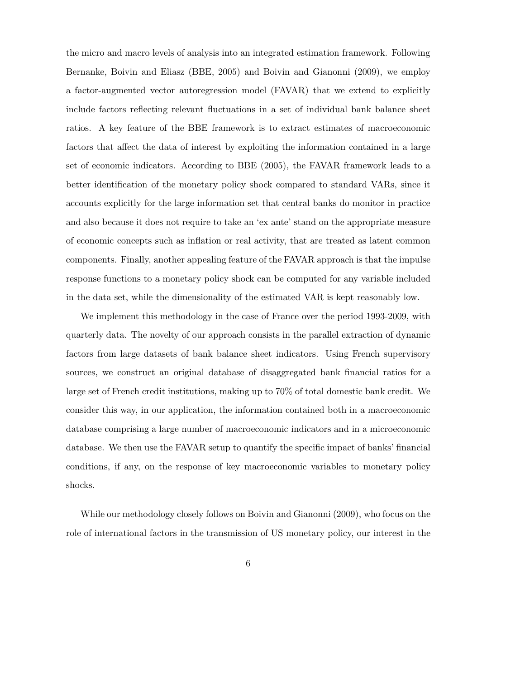the micro and macro levels of analysis into an integrated estimation framework. Following Bernanke, Boivin and Eliasz (BBE, 2005) and Boivin and Gianonni (2009), we employ a factor-augmented vector autoregression model (FAVAR) that we extend to explicitly include factors reflecting relevant fluctuations in a set of individual bank balance sheet ratios. A key feature of the BBE framework is to extract estimates of macroeconomic factors that affect the data of interest by exploiting the information contained in a large set of economic indicators. According to BBE (2005), the FAVAR framework leads to a better identification of the monetary policy shock compared to standard VARs, since it accounts explicitly for the large information set that central banks do monitor in practice and also because it does not require to take an 'ex ante' stand on the appropriate measure of economic concepts such as inflation or real activity, that are treated as latent common components. Finally, another appealing feature of the FAVAR approach is that the impulse response functions to a monetary policy shock can be computed for any variable included in the data set, while the dimensionality of the estimated VAR is kept reasonably low.

We implement this methodology in the case of France over the period 1993-2009, with quarterly data. The novelty of our approach consists in the parallel extraction of dynamic factors from large datasets of bank balance sheet indicators. Using French supervisory sources, we construct an original database of disaggregated bank financial ratios for a large set of French credit institutions, making up to 70% of total domestic bank credit. We consider this way, in our application, the information contained both in a macroeconomic database comprising a large number of macroeconomic indicators and in a microeconomic database. We then use the FAVAR setup to quantify the specific impact of banks' financial conditions, if any, on the response of key macroeconomic variables to monetary policy shocks.

While our methodology closely follows on Boivin and Gianonni (2009), who focus on the role of international factors in the transmission of US monetary policy, our interest in the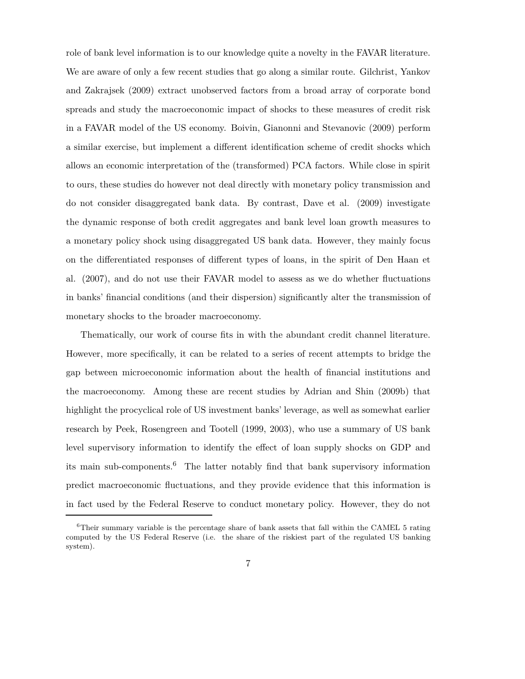role of bank level information is to our knowledge quite a novelty in the FAVAR literature. We are aware of only a few recent studies that go along a similar route. Gilchrist, Yankov and Zakrajsek (2009) extract unobserved factors from a broad array of corporate bond spreads and study the macroeconomic impact of shocks to these measures of credit risk in a FAVAR model of the US economy. Boivin, Gianonni and Stevanovic (2009) perform a similar exercise, but implement a different identification scheme of credit shocks which allows an economic interpretation of the (transformed) PCA factors. While close in spirit to ours, these studies do however not deal directly with monetary policy transmission and do not consider disaggregated bank data. By contrast, Dave et al. (2009) investigate the dynamic response of both credit aggregates and bank level loan growth measures to a monetary policy shock using disaggregated US bank data. However, they mainly focus on the differentiated responses of different types of loans, in the spirit of Den Haan et al. (2007), and do not use their FAVAR model to assess as we do whether fluctuations in banks' financial conditions (and their dispersion) significantly alter the transmission of monetary shocks to the broader macroeconomy.

Thematically, our work of course fits in with the abundant credit channel literature. However, more specifically, it can be related to a series of recent attempts to bridge the gap between microeconomic information about the health of financial institutions and the macroeconomy. Among these are recent studies by Adrian and Shin (2009b) that highlight the procyclical role of US investment banks' leverage, as well as somewhat earlier research by Peek, Rosengreen and Tootell (1999, 2003), who use a summary of US bank level supervisory information to identify the effect of loan supply shocks on GDP and its main sub-components.<sup>6</sup> The latter notably find that bank supervisory information predict macroeconomic fluctuations, and they provide evidence that this information is in fact used by the Federal Reserve to conduct monetary policy. However, they do not

 $6$ Their summary variable is the percentage share of bank assets that fall within the CAMEL 5 rating computed by the US Federal Reserve (i.e. the share of the riskiest part of the regulated US banking system).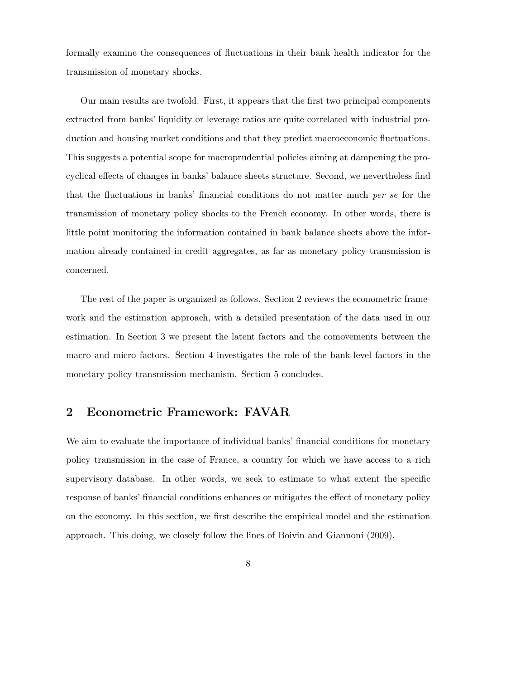formally examine the consequences of fluctuations in their bank health indicator for the transmission of monetary shocks.

Our main results are twofold. First, it appears that the first two principal components extracted from banks' liquidity or leverage ratios are quite correlated with industrial production and housing market conditions and that they predict macroeconomic fluctuations. This suggests a potential scope for macroprudential policies aiming at dampening the procyclical effects of changes in banks' balance sheets structure. Second, we nevertheless find that the fluctuations in banks' financial conditions do not matter much *per se* for the transmission of monetary policy shocks to the French economy. In other words, there is little point monitoring the information contained in bank balance sheets above the information already contained in credit aggregates, as far as monetary policy transmission is concerned.

The rest of the paper is organized as follows. Section 2 reviews the econometric framework and the estimation approach, with a detailed presentation of the data used in our estimation. In Section 3 we present the latent factors and the comovements between the macro and micro factors. Section 4 investigates the role of the bank-level factors in the monetary policy transmission mechanism. Section 5 concludes.

#### **2 Econometric Framework: FAVAR**

We aim to evaluate the importance of individual banks' financial conditions for monetary policy transmission in the case of France, a country for which we have access to a rich supervisory database. In other words, we seek to estimate to what extent the specific response of banks' financial conditions enhances or mitigates the effect of monetary policy on the economy. In this section, we first describe the empirical model and the estimation approach. This doing, we closely follow the lines of Boivin and Giannoni (2009).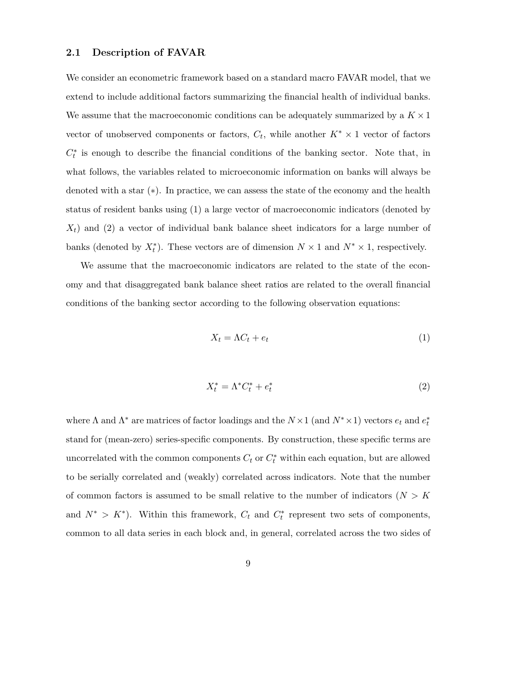#### **2.1 Description of FAVAR**

We consider an econometric framework based on a standard macro FAVAR model, that we extend to include additional factors summarizing the financial health of individual banks. We assume that the macroeconomic conditions can be adequately summarized by a *K ×* 1 vector of unobserved components or factors,  $C_t$ , while another  $K^* \times 1$  vector of factors *C ∗ t* is enough to describe the financial conditions of the banking sector. Note that, in what follows, the variables related to microeconomic information on banks will always be denoted with a star (*∗*). In practice, we can assess the state of the economy and the health status of resident banks using (1) a large vector of macroeconomic indicators (denoted by *Xt*) and (2) a vector of individual bank balance sheet indicators for a large number of banks (denoted by  $X_t^*$ ). These vectors are of dimension  $N \times 1$  and  $N^* \times 1$ , respectively.

We assume that the macroeconomic indicators are related to the state of the economy and that disaggregated bank balance sheet ratios are related to the overall financial conditions of the banking sector according to the following observation equations:

$$
X_t = \Lambda C_t + e_t \tag{1}
$$

$$
X_t^* = \Lambda^* C_t^* + e_t^* \tag{2}
$$

where  $\Lambda$  and  $\Lambda^*$  are matrices of factor loadings and the  $N \times 1$  (and  $N^* \times 1$ ) vectors  $e_t$  and  $e_t^*$ stand for (mean-zero) series-specific components. By construction, these specific terms are uncorrelated with the common components  $C_t$  or  $C_t^*$  within each equation, but are allowed to be serially correlated and (weakly) correlated across indicators. Note that the number of common factors is assumed to be small relative to the number of indicators (*N > K* and  $N^* > K^*$ ). Within this framework,  $C_t$  and  $C_t^*$  represent two sets of components, common to all data series in each block and, in general, correlated across the two sides of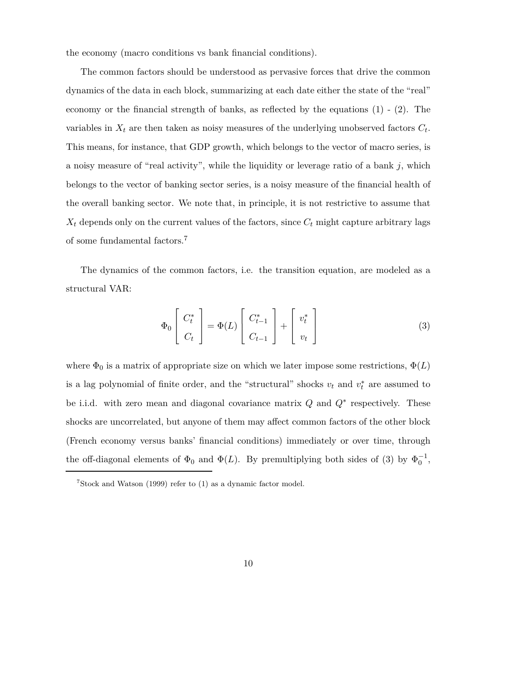the economy (macro conditions vs bank financial conditions).

The common factors should be understood as pervasive forces that drive the common dynamics of the data in each block, summarizing at each date either the state of the "real" economy or the financial strength of banks, as reflected by the equations  $(1)$  -  $(2)$ . The variables in  $X_t$  are then taken as noisy measures of the underlying unobserved factors  $C_t$ . This means, for instance, that GDP growth, which belongs to the vector of macro series, is a noisy measure of "real activity", while the liquidity or leverage ratio of a bank *j*, which belongs to the vector of banking sector series, is a noisy measure of the financial health of the overall banking sector. We note that, in principle, it is not restrictive to assume that  $X_t$  depends only on the current values of the factors, since  $C_t$  might capture arbitrary lags of some fundamental factors.<sup>7</sup>

The dynamics of the common factors, i.e. the transition equation, are modeled as a structural VAR:

$$
\Phi_0 \begin{bmatrix} C_t^* \\ C_t \end{bmatrix} = \Phi(L) \begin{bmatrix} C_{t-1}^* \\ C_{t-1} \end{bmatrix} + \begin{bmatrix} v_t^* \\ v_t \end{bmatrix}
$$
\n(3)

where  $\Phi_0$  is a matrix of appropriate size on which we later impose some restrictions,  $\Phi(L)$ is a lag polynomial of finite order, and the "structural" shocks  $v_t$  and  $v_t^*$  are assumed to be i.i.d. with zero mean and diagonal covariance matrix *Q* and *Q<sup>∗</sup>* respectively. These shocks are uncorrelated, but anyone of them may affect common factors of the other block (French economy versus banks' financial conditions) immediately or over time, through the off-diagonal elements of  $\Phi_0$  and  $\Phi(L)$ . By premultiplying both sides of (3) by  $\Phi_0^{-1}$ ,

<sup>7</sup> Stock and Watson (1999) refer to (1) as a dynamic factor model.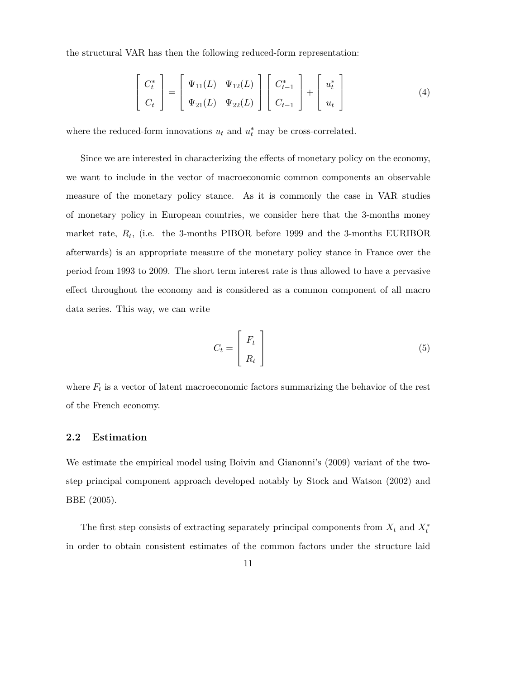the structural VAR has then the following reduced-form representation:

$$
\begin{bmatrix} C_t^* \\ C_t \end{bmatrix} = \begin{bmatrix} \Psi_{11}(L) & \Psi_{12}(L) \\ \Psi_{21}(L) & \Psi_{22}(L) \end{bmatrix} \begin{bmatrix} C_{t-1}^* \\ C_{t-1} \end{bmatrix} + \begin{bmatrix} u_t^* \\ u_t \end{bmatrix}
$$
 (4)

where the reduced-form innovations  $u_t$  and  $u_t^*$  may be cross-correlated.

Since we are interested in characterizing the effects of monetary policy on the economy, we want to include in the vector of macroeconomic common components an observable measure of the monetary policy stance. As it is commonly the case in VAR studies of monetary policy in European countries, we consider here that the 3-months money market rate,  $R_t$ , (i.e. the 3-months PIBOR before 1999 and the 3-months EURIBOR afterwards) is an appropriate measure of the monetary policy stance in France over the period from 1993 to 2009. The short term interest rate is thus allowed to have a pervasive effect throughout the economy and is considered as a common component of all macro data series. This way, we can write

$$
C_t = \left[ \begin{array}{c} F_t \\ R_t \end{array} \right] \tag{5}
$$

where  $F_t$  is a vector of latent macroeconomic factors summarizing the behavior of the rest of the French economy.

#### **2.2 Estimation**

We estimate the empirical model using Boivin and Gianonni's (2009) variant of the twostep principal component approach developed notably by Stock and Watson (2002) and BBE (2005).

The first step consists of extracting separately principal components from  $X_t$  and  $X_t^*$ in order to obtain consistent estimates of the common factors under the structure laid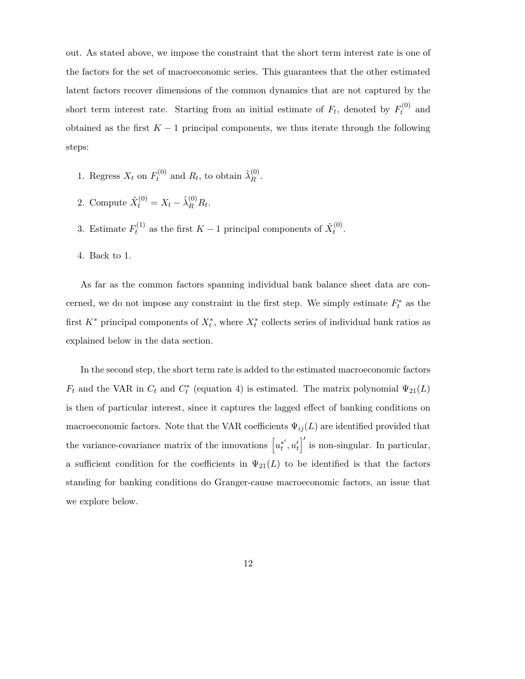out. As stated above, we impose the constraint that the short term interest rate is one of the factors for the set of macroeconomic series. This guarantees that the other estimated latent factors recover dimensions of the common dynamics that are not captured by the short term interest rate. Starting from an initial estimate of  $F_t$ , denoted by  $F_t^{(0)}$  and obtained as the first *K −* 1 principal components, we thus iterate through the following steps:

- 1. Regress  $X_t$  on  $F_t^{(0)}$  $\hat{\lambda}_t^{(0)}$  and  $R_t$ , to obtain  $\hat{\lambda}_R^{(0)}$  $\mathbb{R}^{(0)}$ .
- 2. Compute  $\tilde{X}_t^{(0)} = X_t \hat{\lambda}_R^{(0)} R_t$ .
- 3. Estimate  $F_t^{(1)}$  $\tilde{X}_t^{(1)}$  as the first  $K-1$  principal components of  $\tilde{X}_t^{(0)}$  $t^{(0)}$ .
- 4. Back to 1.

As far as the common factors spanning individual bank balance sheet data are concerned, we do not impose any constraint in the first step. We simply estimate  $F_t^*$  as the first  $K^*$  principal components of  $X_t^*$ , where  $X_t^*$  collects series of individual bank ratios as explained below in the data section.

In the second step, the short term rate is added to the estimated macroeconomic factors *F*<sup>*t*</sup> and the VAR in  $C$ <sup>*t*</sup> and  $C$ <sup>\*</sup><sub>*t*</sub> (equation 4) is estimated. The matrix polynomial  $\Psi_{21}(L)$ is then of particular interest, since it captures the lagged effect of banking conditions on macroeconomic factors. Note that the VAR coefficients  $\Psi_{ij}(L)$  are identified provided that the variance-covariance matrix of the innovations  $\left[u_t^{*'}, u_t'\right]'$  is non-singular. In particular, a sufficient condition for the coefficients in  $\Psi_{21}(L)$  to be identified is that the factors standing for banking conditions do Granger-cause macroeconomic factors, an issue that we explore below.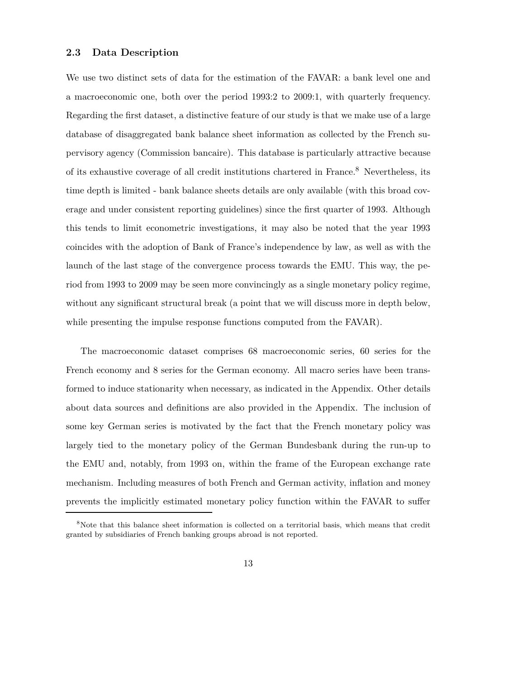#### **2.3 Data Description**

We use two distinct sets of data for the estimation of the FAVAR: a bank level one and a macroeconomic one, both over the period 1993:2 to 2009:1, with quarterly frequency. Regarding the first dataset, a distinctive feature of our study is that we make use of a large database of disaggregated bank balance sheet information as collected by the French supervisory agency (Commission bancaire). This database is particularly attractive because of its exhaustive coverage of all credit institutions chartered in France.<sup>8</sup> Nevertheless, its time depth is limited - bank balance sheets details are only available (with this broad coverage and under consistent reporting guidelines) since the first quarter of 1993. Although this tends to limit econometric investigations, it may also be noted that the year 1993 coincides with the adoption of Bank of France's independence by law, as well as with the launch of the last stage of the convergence process towards the EMU. This way, the period from 1993 to 2009 may be seen more convincingly as a single monetary policy regime, without any significant structural break (a point that we will discuss more in depth below, while presenting the impulse response functions computed from the FAVAR).

The macroeconomic dataset comprises 68 macroeconomic series, 60 series for the French economy and 8 series for the German economy. All macro series have been transformed to induce stationarity when necessary, as indicated in the Appendix. Other details about data sources and definitions are also provided in the Appendix. The inclusion of some key German series is motivated by the fact that the French monetary policy was largely tied to the monetary policy of the German Bundesbank during the run-up to the EMU and, notably, from 1993 on, within the frame of the European exchange rate mechanism. Including measures of both French and German activity, inflation and money prevents the implicitly estimated monetary policy function within the FAVAR to suffer

<sup>&</sup>lt;sup>8</sup>Note that this balance sheet information is collected on a territorial basis, which means that credit granted by subsidiaries of French banking groups abroad is not reported.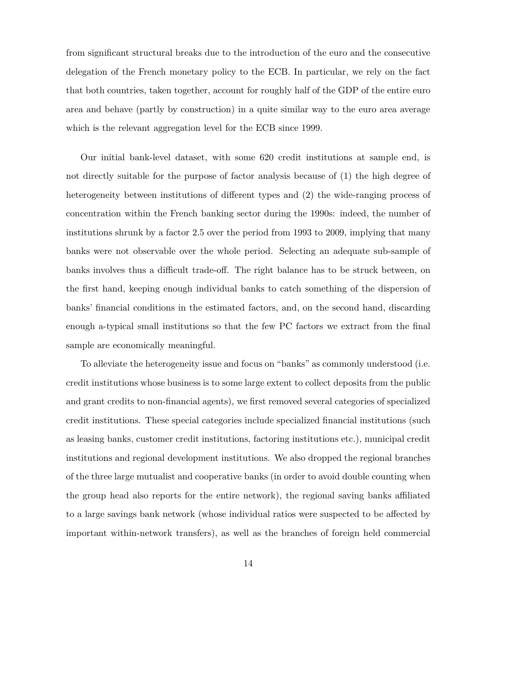from significant structural breaks due to the introduction of the euro and the consecutive delegation of the French monetary policy to the ECB. In particular, we rely on the fact that both countries, taken together, account for roughly half of the GDP of the entire euro area and behave (partly by construction) in a quite similar way to the euro area average which is the relevant aggregation level for the ECB since 1999.

Our initial bank-level dataset, with some 620 credit institutions at sample end, is not directly suitable for the purpose of factor analysis because of (1) the high degree of heterogeneity between institutions of different types and (2) the wide-ranging process of concentration within the French banking sector during the 1990s: indeed, the number of institutions shrunk by a factor 2.5 over the period from 1993 to 2009, implying that many banks were not observable over the whole period. Selecting an adequate sub-sample of banks involves thus a difficult trade-off. The right balance has to be struck between, on the first hand, keeping enough individual banks to catch something of the dispersion of banks' financial conditions in the estimated factors, and, on the second hand, discarding enough a-typical small institutions so that the few PC factors we extract from the final sample are economically meaningful.

To alleviate the heterogeneity issue and focus on "banks" as commonly understood (i.e. credit institutions whose business is to some large extent to collect deposits from the public and grant credits to non-financial agents), we first removed several categories of specialized credit institutions. These special categories include specialized financial institutions (such as leasing banks, customer credit institutions, factoring institutions etc.), municipal credit institutions and regional development institutions. We also dropped the regional branches of the three large mutualist and cooperative banks (in order to avoid double counting when the group head also reports for the entire network), the regional saving banks affiliated to a large savings bank network (whose individual ratios were suspected to be affected by important within-network transfers), as well as the branches of foreign held commercial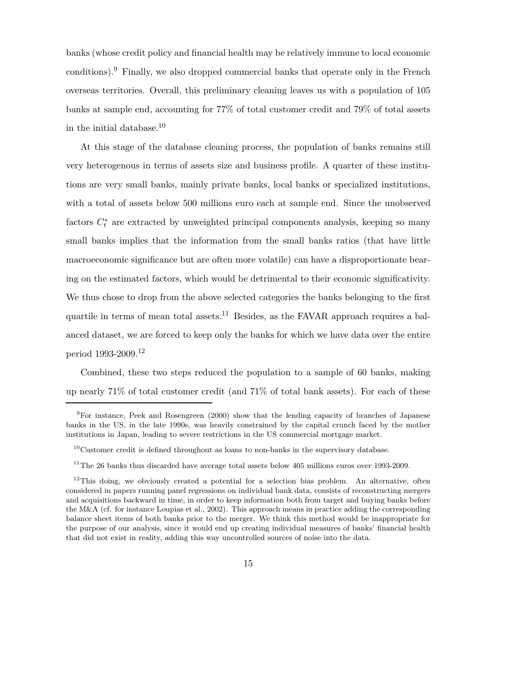banks (whose credit policy and financial health may be relatively immune to local economic conditions).<sup>9</sup> Finally, we also dropped commercial banks that operate only in the French overseas territories. Overall, this preliminary cleaning leaves us with a population of 105 banks at sample end, accounting for 77% of total customer credit and 79% of total assets in the initial database.<sup>10</sup>

At this stage of the database cleaning process, the population of banks remains still very heterogenous in terms of assets size and business profile. A quarter of these institutions are very small banks, mainly private banks, local banks or specialized institutions, with a total of assets below 500 millions euro each at sample end. Since the unobserved factors  $C_t^*$  are extracted by unweighted principal components analysis, keeping so many small banks implies that the information from the small banks ratios (that have little macroeconomic significance but are often more volatile) can have a disproportionate bearing on the estimated factors, which would be detrimental to their economic significativity. We thus chose to drop from the above selected categories the banks belonging to the first quartile in terms of mean total assets.<sup>11</sup> Besides, as the FAVAR approach requires a balanced dataset, we are forced to keep only the banks for which we have data over the entire period 1993-2009.<sup>12</sup>

Combined, these two steps reduced the population to a sample of 60 banks, making up nearly 71% of total customer credit (and 71% of total bank assets). For each of these

<sup>&</sup>lt;sup>9</sup>For instance, Peek and Rosengreen (2000) show that the lending capacity of branches of Japanese banks in the US, in the late 1990s, was heavily constrained by the capital crunch faced by the mother institutions in Japan, leading to severe restrictions in the US commercial mortgage market.

 $10^{\circ}$ Customer credit is defined throughout as loans to non-banks in the supervisory database.

 $11$ <sup>The 26</sup> banks thus discarded have average total assets below 405 millions euros over 1993-2009.

 $12$ This doing, we obviously created a potential for a selection bias problem. An alternative, often considered in papers running panel regressions on individual bank data, consists of reconstructing mergers and acquisitions backward in time, in order to keep information both from target and buying banks before the M&A (cf. for instance Loupias et al., 2002). This approach means in practice adding the corresponding balance sheet items of both banks prior to the merger. We think this method would be inappropriate for the purpose of our analysis, since it would end up creating individual measures of banks' financial health that did not exist in reality, adding this way uncontrolled sources of noise into the data.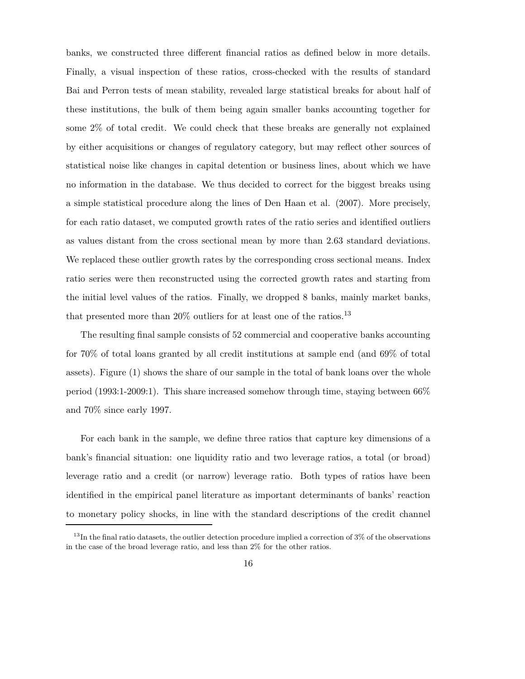banks, we constructed three different financial ratios as defined below in more details. Finally, a visual inspection of these ratios, cross-checked with the results of standard Bai and Perron tests of mean stability, revealed large statistical breaks for about half of these institutions, the bulk of them being again smaller banks accounting together for some 2% of total credit. We could check that these breaks are generally not explained by either acquisitions or changes of regulatory category, but may reflect other sources of statistical noise like changes in capital detention or business lines, about which we have no information in the database. We thus decided to correct for the biggest breaks using a simple statistical procedure along the lines of Den Haan et al. (2007). More precisely, for each ratio dataset, we computed growth rates of the ratio series and identified outliers as values distant from the cross sectional mean by more than 2.63 standard deviations. We replaced these outlier growth rates by the corresponding cross sectional means. Index ratio series were then reconstructed using the corrected growth rates and starting from the initial level values of the ratios. Finally, we dropped 8 banks, mainly market banks, that presented more than 20% outliers for at least one of the ratios.<sup>13</sup>

The resulting final sample consists of 52 commercial and cooperative banks accounting for 70% of total loans granted by all credit institutions at sample end (and 69% of total assets). Figure (1) shows the share of our sample in the total of bank loans over the whole period (1993:1-2009:1). This share increased somehow through time, staying between 66% and 70% since early 1997.

For each bank in the sample, we define three ratios that capture key dimensions of a bank's financial situation: one liquidity ratio and two leverage ratios, a total (or broad) leverage ratio and a credit (or narrow) leverage ratio. Both types of ratios have been identified in the empirical panel literature as important determinants of banks' reaction to monetary policy shocks, in line with the standard descriptions of the credit channel

 $13$ In the final ratio datasets, the outlier detection procedure implied a correction of  $3\%$  of the observations in the case of the broad leverage ratio, and less than 2% for the other ratios.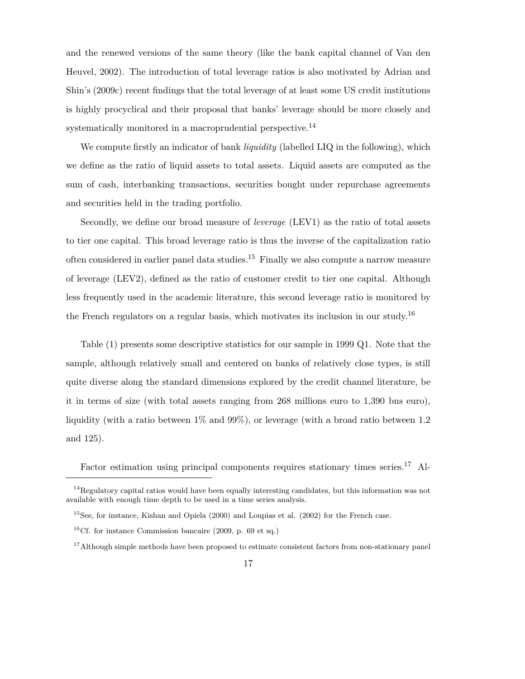and the renewed versions of the same theory (like the bank capital channel of Van den Heuvel, 2002). The introduction of total leverage ratios is also motivated by Adrian and Shin's (2009c) recent findings that the total leverage of at least some US credit institutions is highly procyclical and their proposal that banks' leverage should be more closely and systematically monitored in a macroprudential perspective.<sup>14</sup>

We compute firstly an indicator of bank *liquidity* (labelled LIQ in the following), which we define as the ratio of liquid assets to total assets. Liquid assets are computed as the sum of cash, interbanking transactions, securities bought under repurchase agreements and securities held in the trading portfolio.

Secondly, we define our broad measure of *leverage* (LEV1) as the ratio of total assets to tier one capital. This broad leverage ratio is thus the inverse of the capitalization ratio often considered in earlier panel data studies.<sup>15</sup> Finally we also compute a narrow measure of leverage (LEV2), defined as the ratio of customer credit to tier one capital. Although less frequently used in the academic literature, this second leverage ratio is monitored by the French regulators on a regular basis, which motivates its inclusion in our study.<sup>16</sup>

Table (1) presents some descriptive statistics for our sample in 1999 Q1. Note that the sample, although relatively small and centered on banks of relatively close types, is still quite diverse along the standard dimensions explored by the credit channel literature, be it in terms of size (with total assets ranging from 268 millions euro to 1,390 bns euro), liquidity (with a ratio between  $1\%$  and  $99\%$ ), or leverage (with a broad ratio between 1.2 and 125).

Factor estimation using principal components requires stationary times series.<sup>17</sup> Al-

 $14$ Regulatory capital ratios would have been equally interesting candidates, but this information was not available with enough time depth to be used in a time series analysis.

<sup>&</sup>lt;sup>15</sup>See, for instance, Kishan and Opiela (2000) and Loupias et al. (2002) for the French case.

<sup>&</sup>lt;sup>16</sup>Cf. for instance Commission bancaire  $(2009, p. 69$  et sq.)

<sup>&</sup>lt;sup>17</sup>Although simple methods have been proposed to estimate consistent factors from non-stationary panel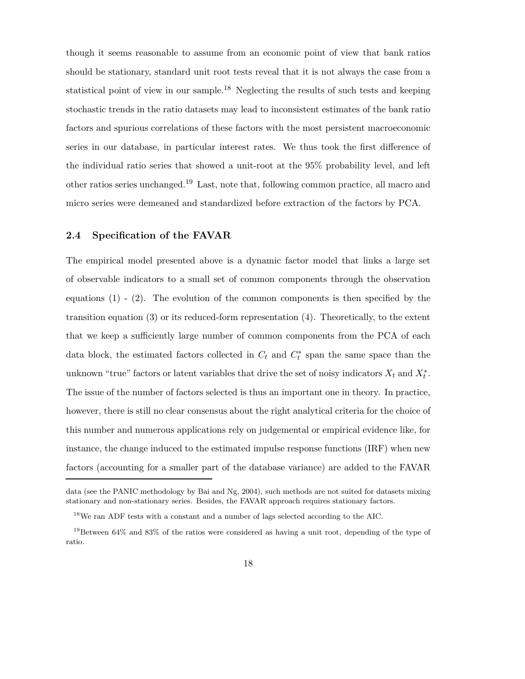though it seems reasonable to assume from an economic point of view that bank ratios should be stationary, standard unit root tests reveal that it is not always the case from a statistical point of view in our sample.<sup>18</sup> Neglecting the results of such tests and keeping stochastic trends in the ratio datasets may lead to inconsistent estimates of the bank ratio factors and spurious correlations of these factors with the most persistent macroeconomic series in our database, in particular interest rates. We thus took the first difference of the individual ratio series that showed a unit-root at the 95% probability level, and left other ratios series unchanged.<sup>19</sup> Last, note that, following common practice, all macro and micro series were demeaned and standardized before extraction of the factors by PCA.

#### **2.4 Specification of the FAVAR**

The empirical model presented above is a dynamic factor model that links a large set of observable indicators to a small set of common components through the observation equations  $(1)$  -  $(2)$ . The evolution of the common components is then specified by the transition equation (3) or its reduced-form representation (4). Theoretically, to the extent that we keep a sufficiently large number of common components from the PCA of each data block, the estimated factors collected in  $C_t$  and  $C_t^*$  span the same space than the unknown "true" factors or latent variables that drive the set of noisy indicators  $X_t$  and  $X_t^*$ . The issue of the number of factors selected is thus an important one in theory. In practice, however, there is still no clear consensus about the right analytical criteria for the choice of this number and numerous applications rely on judgemental or empirical evidence like, for instance, the change induced to the estimated impulse response functions (IRF) when new factors (accounting for a smaller part of the database variance) are added to the FAVAR

data (see the PANIC methodology by Bai and Ng, 2004), such methods are not suited for datasets mixing stationary and non-stationary series. Besides, the FAVAR approach requires stationary factors.

<sup>&</sup>lt;sup>18</sup>We ran ADF tests with a constant and a number of lags selected according to the AIC.

<sup>19</sup>Between 64% and 83% of the ratios were considered as having a unit root, depending of the type of ratio.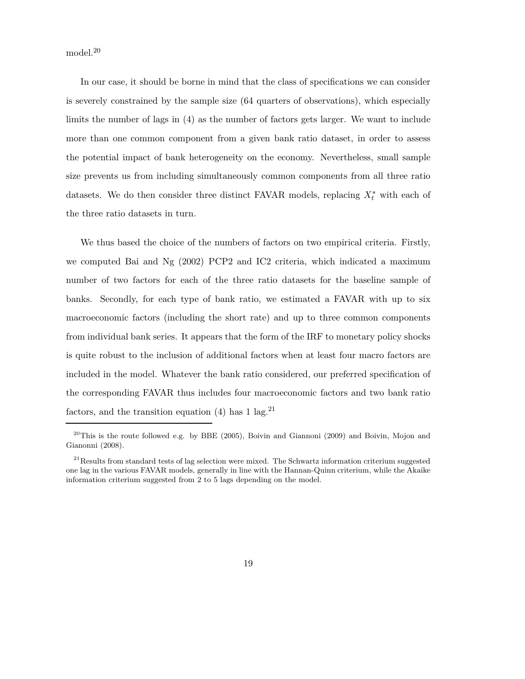model.<sup>20</sup>

In our case, it should be borne in mind that the class of specifications we can consider is severely constrained by the sample size (64 quarters of observations), which especially limits the number of lags in (4) as the number of factors gets larger. We want to include more than one common component from a given bank ratio dataset, in order to assess the potential impact of bank heterogeneity on the economy. Nevertheless, small sample size prevents us from including simultaneously common components from all three ratio datasets. We do then consider three distinct FAVAR models, replacing  $X_t^*$  with each of the three ratio datasets in turn.

We thus based the choice of the numbers of factors on two empirical criteria. Firstly, we computed Bai and Ng (2002) PCP2 and IC2 criteria, which indicated a maximum number of two factors for each of the three ratio datasets for the baseline sample of banks. Secondly, for each type of bank ratio, we estimated a FAVAR with up to six macroeconomic factors (including the short rate) and up to three common components from individual bank series. It appears that the form of the IRF to monetary policy shocks is quite robust to the inclusion of additional factors when at least four macro factors are included in the model. Whatever the bank ratio considered, our preferred specification of the corresponding FAVAR thus includes four macroeconomic factors and two bank ratio factors, and the transition equation (4) has  $1 \text{ lag}.^{21}$ 

 $^{20}$ This is the route followed e.g. by BBE (2005), Boivin and Giannoni (2009) and Boivin, Mojon and Gianonni (2008).

 $21$ Results from standard tests of lag selection were mixed. The Schwartz information criterium suggested one lag in the various FAVAR models, generally in line with the Hannan-Quinn criterium, while the Akaike information criterium suggested from 2 to 5 lags depending on the model.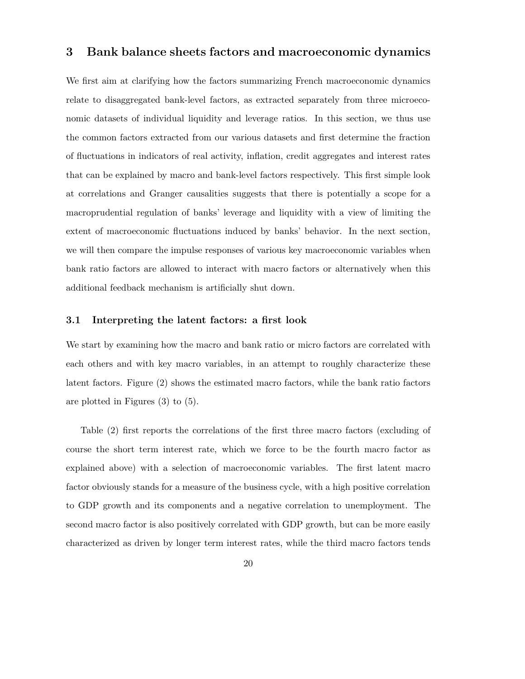#### **3 Bank balance sheets factors and macroeconomic dynamics**

We first aim at clarifying how the factors summarizing French macroeconomic dynamics relate to disaggregated bank-level factors, as extracted separately from three microeconomic datasets of individual liquidity and leverage ratios. In this section, we thus use the common factors extracted from our various datasets and first determine the fraction of fluctuations in indicators of real activity, inflation, credit aggregates and interest rates that can be explained by macro and bank-level factors respectively. This first simple look at correlations and Granger causalities suggests that there is potentially a scope for a macroprudential regulation of banks' leverage and liquidity with a view of limiting the extent of macroeconomic fluctuations induced by banks' behavior. In the next section, we will then compare the impulse responses of various key macroeconomic variables when bank ratio factors are allowed to interact with macro factors or alternatively when this additional feedback mechanism is artificially shut down.

#### **3.1 Interpreting the latent factors: a first look**

We start by examining how the macro and bank ratio or micro factors are correlated with each others and with key macro variables, in an attempt to roughly characterize these latent factors. Figure (2) shows the estimated macro factors, while the bank ratio factors are plotted in Figures (3) to (5).

Table (2) first reports the correlations of the first three macro factors (excluding of course the short term interest rate, which we force to be the fourth macro factor as explained above) with a selection of macroeconomic variables. The first latent macro factor obviously stands for a measure of the business cycle, with a high positive correlation to GDP growth and its components and a negative correlation to unemployment. The second macro factor is also positively correlated with GDP growth, but can be more easily characterized as driven by longer term interest rates, while the third macro factors tends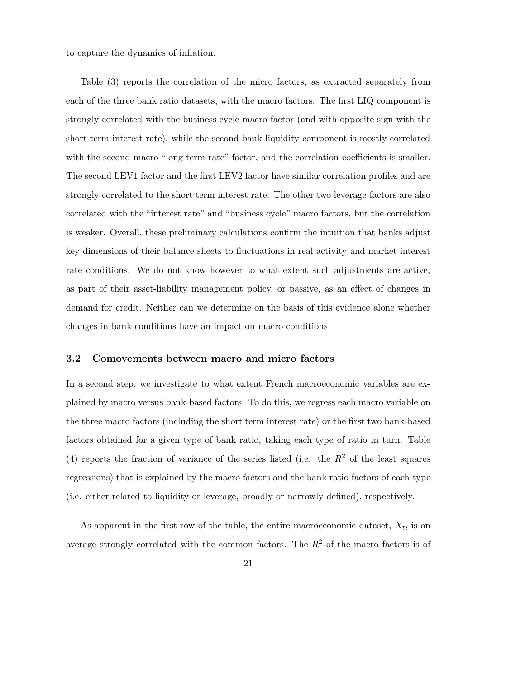to capture the dynamics of inflation.

Table (3) reports the correlation of the micro factors, as extracted separately from each of the three bank ratio datasets, with the macro factors. The first LIQ component is strongly correlated with the business cycle macro factor (and with opposite sign with the short term interest rate), while the second bank liquidity component is mostly correlated with the second macro "long term rate" factor, and the correlation coefficients is smaller. The second LEV1 factor and the first LEV2 factor have similar correlation profiles and are strongly correlated to the short term interest rate. The other two leverage factors are also correlated with the "interest rate" and "business cycle" macro factors, but the correlation is weaker. Overall, these preliminary calculations confirm the intuition that banks adjust key dimensions of their balance sheets to fluctuations in real activity and market interest rate conditions. We do not know however to what extent such adjustments are active, as part of their asset-liability management policy, or passive, as an effect of changes in demand for credit. Neither can we determine on the basis of this evidence alone whether changes in bank conditions have an impact on macro conditions.

#### **3.2 Comovements between macro and micro factors**

In a second step, we investigate to what extent French macroeconomic variables are explained by macro versus bank-based factors. To do this, we regress each macro variable on the three macro factors (including the short term interest rate) or the first two bank-based factors obtained for a given type of bank ratio, taking each type of ratio in turn. Table (4) reports the fraction of variance of the series listed (i.e. the  $R<sup>2</sup>$  of the least squares regressions) that is explained by the macro factors and the bank ratio factors of each type (i.e. either related to liquidity or leverage, broadly or narrowly defined), respectively.

As apparent in the first row of the table, the entire macroeconomic dataset,  $X_t$ , is on average strongly correlated with the common factors. The  $R<sup>2</sup>$  of the macro factors is of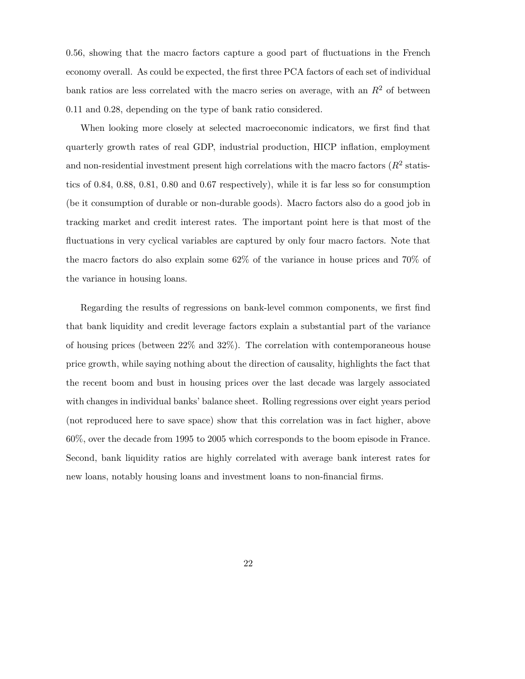0.56, showing that the macro factors capture a good part of fluctuations in the French economy overall. As could be expected, the first three PCA factors of each set of individual bank ratios are less correlated with the macro series on average, with an *R*<sup>2</sup> of between 0.11 and 0.28, depending on the type of bank ratio considered.

When looking more closely at selected macroeconomic indicators, we first find that quarterly growth rates of real GDP, industrial production, HICP inflation, employment and non-residential investment present high correlations with the macro factors  $(R^2 \text{ statis-})$ tics of 0.84, 0.88, 0.81, 0.80 and 0.67 respectively), while it is far less so for consumption (be it consumption of durable or non-durable goods). Macro factors also do a good job in tracking market and credit interest rates. The important point here is that most of the fluctuations in very cyclical variables are captured by only four macro factors. Note that the macro factors do also explain some 62% of the variance in house prices and 70% of the variance in housing loans.

Regarding the results of regressions on bank-level common components, we first find that bank liquidity and credit leverage factors explain a substantial part of the variance of housing prices (between 22% and 32%). The correlation with contemporaneous house price growth, while saying nothing about the direction of causality, highlights the fact that the recent boom and bust in housing prices over the last decade was largely associated with changes in individual banks' balance sheet. Rolling regressions over eight years period (not reproduced here to save space) show that this correlation was in fact higher, above 60%, over the decade from 1995 to 2005 which corresponds to the boom episode in France. Second, bank liquidity ratios are highly correlated with average bank interest rates for new loans, notably housing loans and investment loans to non-financial firms.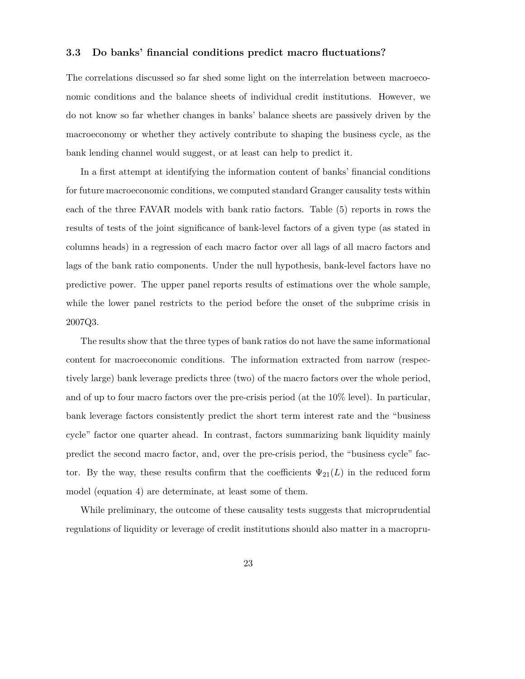#### **3.3 Do banks' financial conditions predict macro fluctuations?**

The correlations discussed so far shed some light on the interrelation between macroeconomic conditions and the balance sheets of individual credit institutions. However, we do not know so far whether changes in banks' balance sheets are passively driven by the macroeconomy or whether they actively contribute to shaping the business cycle, as the bank lending channel would suggest, or at least can help to predict it.

In a first attempt at identifying the information content of banks' financial conditions for future macroeconomic conditions, we computed standard Granger causality tests within each of the three FAVAR models with bank ratio factors. Table (5) reports in rows the results of tests of the joint significance of bank-level factors of a given type (as stated in columns heads) in a regression of each macro factor over all lags of all macro factors and lags of the bank ratio components. Under the null hypothesis, bank-level factors have no predictive power. The upper panel reports results of estimations over the whole sample, while the lower panel restricts to the period before the onset of the subprime crisis in 2007Q3.

The results show that the three types of bank ratios do not have the same informational content for macroeconomic conditions. The information extracted from narrow (respectively large) bank leverage predicts three (two) of the macro factors over the whole period, and of up to four macro factors over the pre-crisis period (at the 10% level). In particular, bank leverage factors consistently predict the short term interest rate and the "business cycle" factor one quarter ahead. In contrast, factors summarizing bank liquidity mainly predict the second macro factor, and, over the pre-crisis period, the "business cycle" factor. By the way, these results confirm that the coefficients  $\Psi_{21}(L)$  in the reduced form model (equation 4) are determinate, at least some of them.

While preliminary, the outcome of these causality tests suggests that microprudential regulations of liquidity or leverage of credit institutions should also matter in a macropru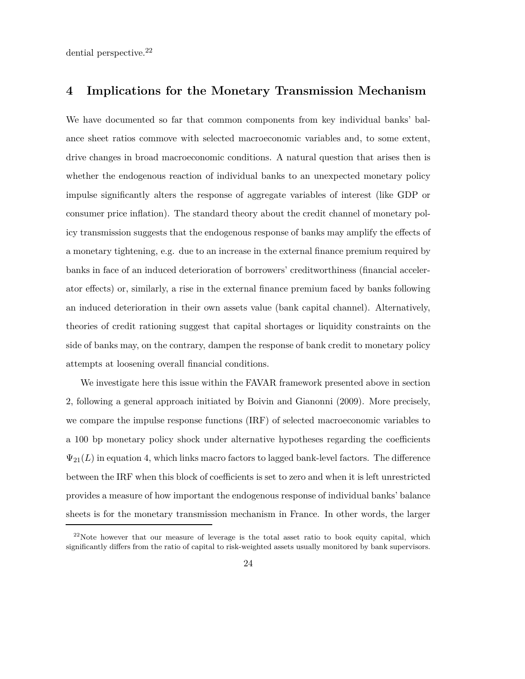dential perspective.<sup>22</sup>

### **4 Implications for the Monetary Transmission Mechanism**

We have documented so far that common components from key individual banks' balance sheet ratios commove with selected macroeconomic variables and, to some extent, drive changes in broad macroeconomic conditions. A natural question that arises then is whether the endogenous reaction of individual banks to an unexpected monetary policy impulse significantly alters the response of aggregate variables of interest (like GDP or consumer price inflation). The standard theory about the credit channel of monetary policy transmission suggests that the endogenous response of banks may amplify the effects of a monetary tightening, e.g. due to an increase in the external finance premium required by banks in face of an induced deterioration of borrowers' creditworthiness (financial accelerator effects) or, similarly, a rise in the external finance premium faced by banks following an induced deterioration in their own assets value (bank capital channel). Alternatively, theories of credit rationing suggest that capital shortages or liquidity constraints on the side of banks may, on the contrary, dampen the response of bank credit to monetary policy attempts at loosening overall financial conditions.

We investigate here this issue within the FAVAR framework presented above in section 2, following a general approach initiated by Boivin and Gianonni (2009). More precisely, we compare the impulse response functions (IRF) of selected macroeconomic variables to a 100 bp monetary policy shock under alternative hypotheses regarding the coefficients  $\Psi_{21}(L)$  in equation 4, which links macro factors to lagged bank-level factors. The difference between the IRF when this block of coefficients is set to zero and when it is left unrestricted provides a measure of how important the endogenous response of individual banks' balance sheets is for the monetary transmission mechanism in France. In other words, the larger

 $22$ Note however that our measure of leverage is the total asset ratio to book equity capital, which significantly differs from the ratio of capital to risk-weighted assets usually monitored by bank supervisors.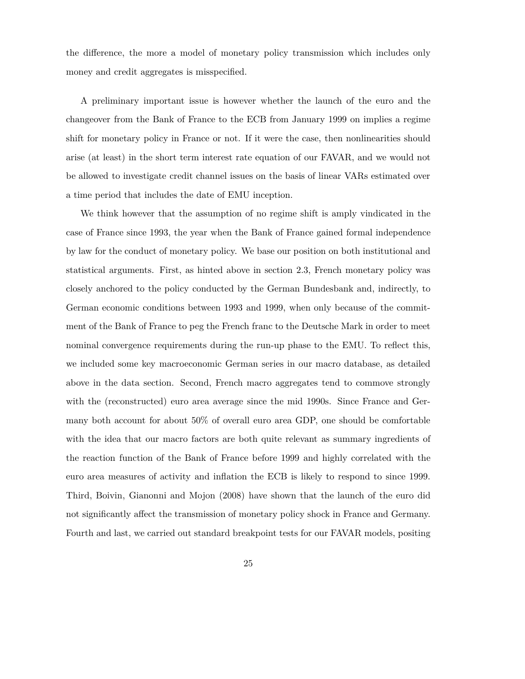the difference, the more a model of monetary policy transmission which includes only money and credit aggregates is misspecified.

A preliminary important issue is however whether the launch of the euro and the changeover from the Bank of France to the ECB from January 1999 on implies a regime shift for monetary policy in France or not. If it were the case, then nonlinearities should arise (at least) in the short term interest rate equation of our FAVAR, and we would not be allowed to investigate credit channel issues on the basis of linear VARs estimated over a time period that includes the date of EMU inception.

We think however that the assumption of no regime shift is amply vindicated in the case of France since 1993, the year when the Bank of France gained formal independence by law for the conduct of monetary policy. We base our position on both institutional and statistical arguments. First, as hinted above in section 2.3, French monetary policy was closely anchored to the policy conducted by the German Bundesbank and, indirectly, to German economic conditions between 1993 and 1999, when only because of the commitment of the Bank of France to peg the French franc to the Deutsche Mark in order to meet nominal convergence requirements during the run-up phase to the EMU. To reflect this, we included some key macroeconomic German series in our macro database, as detailed above in the data section. Second, French macro aggregates tend to commove strongly with the (reconstructed) euro area average since the mid 1990s. Since France and Germany both account for about 50% of overall euro area GDP, one should be comfortable with the idea that our macro factors are both quite relevant as summary ingredients of the reaction function of the Bank of France before 1999 and highly correlated with the euro area measures of activity and inflation the ECB is likely to respond to since 1999. Third, Boivin, Gianonni and Mojon (2008) have shown that the launch of the euro did not significantly affect the transmission of monetary policy shock in France and Germany. Fourth and last, we carried out standard breakpoint tests for our FAVAR models, positing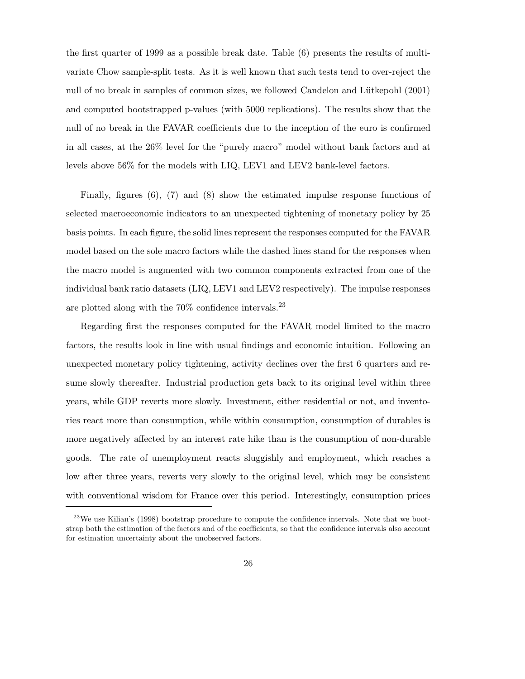the first quarter of 1999 as a possible break date. Table (6) presents the results of multivariate Chow sample-split tests. As it is well known that such tests tend to over-reject the null of no break in samples of common sizes, we followed Candelon and Lütkepohl (2001) and computed bootstrapped p-values (with 5000 replications). The results show that the null of no break in the FAVAR coefficients due to the inception of the euro is confirmed in all cases, at the 26% level for the "purely macro" model without bank factors and at levels above 56% for the models with LIQ, LEV1 and LEV2 bank-level factors.

Finally, figures (6), (7) and (8) show the estimated impulse response functions of selected macroeconomic indicators to an unexpected tightening of monetary policy by 25 basis points. In each figure, the solid lines represent the responses computed for the FAVAR model based on the sole macro factors while the dashed lines stand for the responses when the macro model is augmented with two common components extracted from one of the individual bank ratio datasets (LIQ, LEV1 and LEV2 respectively). The impulse responses are plotted along with the 70% confidence intervals.<sup>23</sup>

Regarding first the responses computed for the FAVAR model limited to the macro factors, the results look in line with usual findings and economic intuition. Following an unexpected monetary policy tightening, activity declines over the first 6 quarters and resume slowly thereafter. Industrial production gets back to its original level within three years, while GDP reverts more slowly. Investment, either residential or not, and inventories react more than consumption, while within consumption, consumption of durables is more negatively affected by an interest rate hike than is the consumption of non-durable goods. The rate of unemployment reacts sluggishly and employment, which reaches a low after three years, reverts very slowly to the original level, which may be consistent with conventional wisdom for France over this period. Interestingly, consumption prices

 $^{23}$ We use Kilian's (1998) bootstrap procedure to compute the confidence intervals. Note that we bootstrap both the estimation of the factors and of the coefficients, so that the confidence intervals also account for estimation uncertainty about the unobserved factors.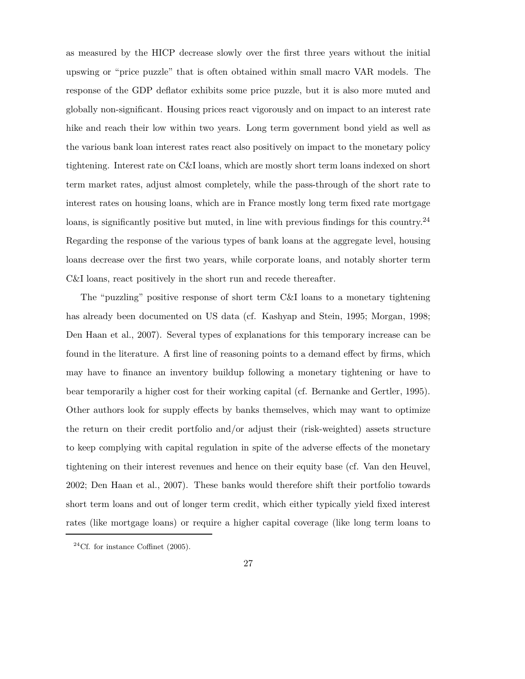as measured by the HICP decrease slowly over the first three years without the initial upswing or "price puzzle" that is often obtained within small macro VAR models. The response of the GDP deflator exhibits some price puzzle, but it is also more muted and globally non-significant. Housing prices react vigorously and on impact to an interest rate hike and reach their low within two years. Long term government bond yield as well as the various bank loan interest rates react also positively on impact to the monetary policy tightening. Interest rate on C&I loans, which are mostly short term loans indexed on short term market rates, adjust almost completely, while the pass-through of the short rate to interest rates on housing loans, which are in France mostly long term fixed rate mortgage loans, is significantly positive but muted, in line with previous findings for this country.<sup>24</sup> Regarding the response of the various types of bank loans at the aggregate level, housing loans decrease over the first two years, while corporate loans, and notably shorter term C&I loans, react positively in the short run and recede thereafter.

The "puzzling" positive response of short term C&I loans to a monetary tightening has already been documented on US data (cf. Kashyap and Stein, 1995; Morgan, 1998; Den Haan et al., 2007). Several types of explanations for this temporary increase can be found in the literature. A first line of reasoning points to a demand effect by firms, which may have to finance an inventory buildup following a monetary tightening or have to bear temporarily a higher cost for their working capital (cf. Bernanke and Gertler, 1995). Other authors look for supply effects by banks themselves, which may want to optimize the return on their credit portfolio and/or adjust their (risk-weighted) assets structure to keep complying with capital regulation in spite of the adverse effects of the monetary tightening on their interest revenues and hence on their equity base (cf. Van den Heuvel, 2002; Den Haan et al., 2007). These banks would therefore shift their portfolio towards short term loans and out of longer term credit, which either typically yield fixed interest rates (like mortgage loans) or require a higher capital coverage (like long term loans to

 $^{24}$ Cf. for instance Coffinet (2005).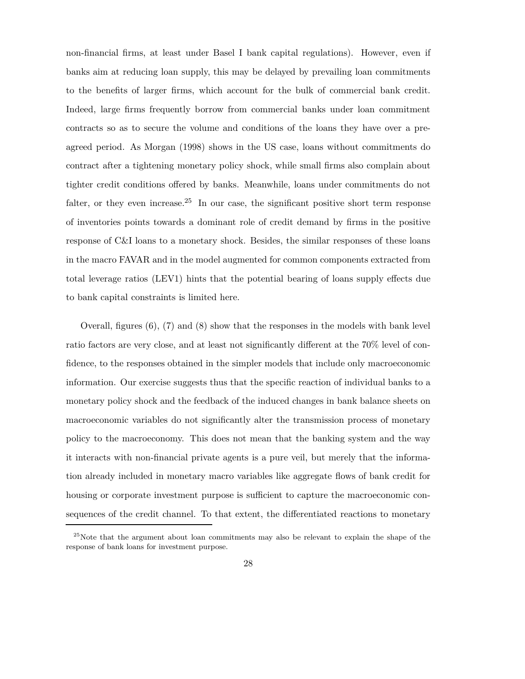non-financial firms, at least under Basel I bank capital regulations). However, even if banks aim at reducing loan supply, this may be delayed by prevailing loan commitments to the benefits of larger firms, which account for the bulk of commercial bank credit. Indeed, large firms frequently borrow from commercial banks under loan commitment contracts so as to secure the volume and conditions of the loans they have over a preagreed period. As Morgan (1998) shows in the US case, loans without commitments do contract after a tightening monetary policy shock, while small firms also complain about tighter credit conditions offered by banks. Meanwhile, loans under commitments do not falter, or they even increase.<sup>25</sup> In our case, the significant positive short term response of inventories points towards a dominant role of credit demand by firms in the positive response of C&I loans to a monetary shock. Besides, the similar responses of these loans in the macro FAVAR and in the model augmented for common components extracted from total leverage ratios (LEV1) hints that the potential bearing of loans supply effects due to bank capital constraints is limited here.

Overall, figures (6), (7) and (8) show that the responses in the models with bank level ratio factors are very close, and at least not significantly different at the 70% level of confidence, to the responses obtained in the simpler models that include only macroeconomic information. Our exercise suggests thus that the specific reaction of individual banks to a monetary policy shock and the feedback of the induced changes in bank balance sheets on macroeconomic variables do not significantly alter the transmission process of monetary policy to the macroeconomy. This does not mean that the banking system and the way it interacts with non-financial private agents is a pure veil, but merely that the information already included in monetary macro variables like aggregate flows of bank credit for housing or corporate investment purpose is sufficient to capture the macroeconomic consequences of the credit channel. To that extent, the differentiated reactions to monetary

<sup>&</sup>lt;sup>25</sup>Note that the argument about loan commitments may also be relevant to explain the shape of the response of bank loans for investment purpose.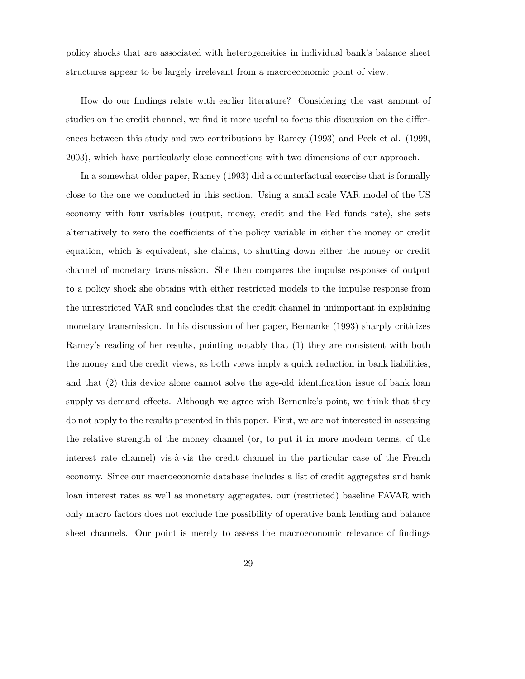policy shocks that are associated with heterogeneities in individual bank's balance sheet structures appear to be largely irrelevant from a macroeconomic point of view.

How do our findings relate with earlier literature? Considering the vast amount of studies on the credit channel, we find it more useful to focus this discussion on the differences between this study and two contributions by Ramey (1993) and Peek et al. (1999, 2003), which have particularly close connections with two dimensions of our approach.

In a somewhat older paper, Ramey (1993) did a counterfactual exercise that is formally close to the one we conducted in this section. Using a small scale VAR model of the US economy with four variables (output, money, credit and the Fed funds rate), she sets alternatively to zero the coefficients of the policy variable in either the money or credit equation, which is equivalent, she claims, to shutting down either the money or credit channel of monetary transmission. She then compares the impulse responses of output to a policy shock she obtains with either restricted models to the impulse response from the unrestricted VAR and concludes that the credit channel in unimportant in explaining monetary transmission. In his discussion of her paper, Bernanke (1993) sharply criticizes Ramey's reading of her results, pointing notably that (1) they are consistent with both the money and the credit views, as both views imply a quick reduction in bank liabilities, and that (2) this device alone cannot solve the age-old identification issue of bank loan supply vs demand effects. Although we agree with Bernanke's point, we think that they do not apply to the results presented in this paper. First, we are not interested in assessing the relative strength of the money channel (or, to put it in more modern terms, of the interest rate channel) vis-à-vis the credit channel in the particular case of the French economy. Since our macroeconomic database includes a list of credit aggregates and bank loan interest rates as well as monetary aggregates, our (restricted) baseline FAVAR with only macro factors does not exclude the possibility of operative bank lending and balance sheet channels. Our point is merely to assess the macroeconomic relevance of findings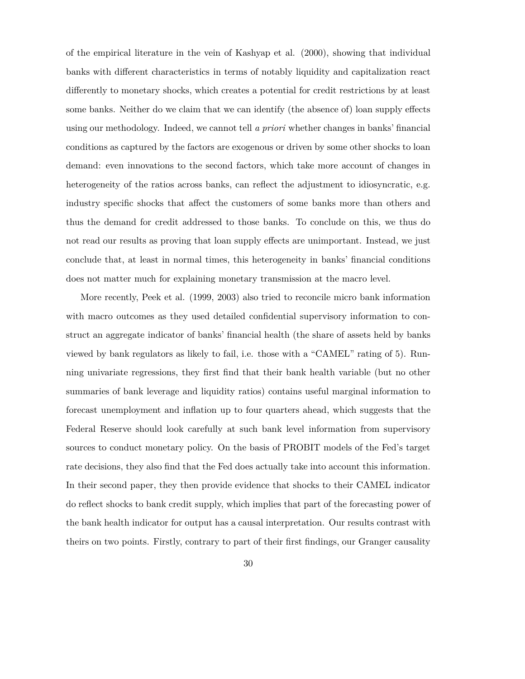of the empirical literature in the vein of Kashyap et al. (2000), showing that individual banks with different characteristics in terms of notably liquidity and capitalization react differently to monetary shocks, which creates a potential for credit restrictions by at least some banks. Neither do we claim that we can identify (the absence of) loan supply effects using our methodology. Indeed, we cannot tell *a priori* whether changes in banks' financial conditions as captured by the factors are exogenous or driven by some other shocks to loan demand: even innovations to the second factors, which take more account of changes in heterogeneity of the ratios across banks, can reflect the adjustment to idiosyncratic, e.g. industry specific shocks that affect the customers of some banks more than others and thus the demand for credit addressed to those banks. To conclude on this, we thus do not read our results as proving that loan supply effects are unimportant. Instead, we just conclude that, at least in normal times, this heterogeneity in banks' financial conditions does not matter much for explaining monetary transmission at the macro level.

More recently, Peek et al. (1999, 2003) also tried to reconcile micro bank information with macro outcomes as they used detailed confidential supervisory information to construct an aggregate indicator of banks' financial health (the share of assets held by banks viewed by bank regulators as likely to fail, i.e. those with a "CAMEL" rating of 5). Running univariate regressions, they first find that their bank health variable (but no other summaries of bank leverage and liquidity ratios) contains useful marginal information to forecast unemployment and inflation up to four quarters ahead, which suggests that the Federal Reserve should look carefully at such bank level information from supervisory sources to conduct monetary policy. On the basis of PROBIT models of the Fed's target rate decisions, they also find that the Fed does actually take into account this information. In their second paper, they then provide evidence that shocks to their CAMEL indicator do reflect shocks to bank credit supply, which implies that part of the forecasting power of the bank health indicator for output has a causal interpretation. Our results contrast with theirs on two points. Firstly, contrary to part of their first findings, our Granger causality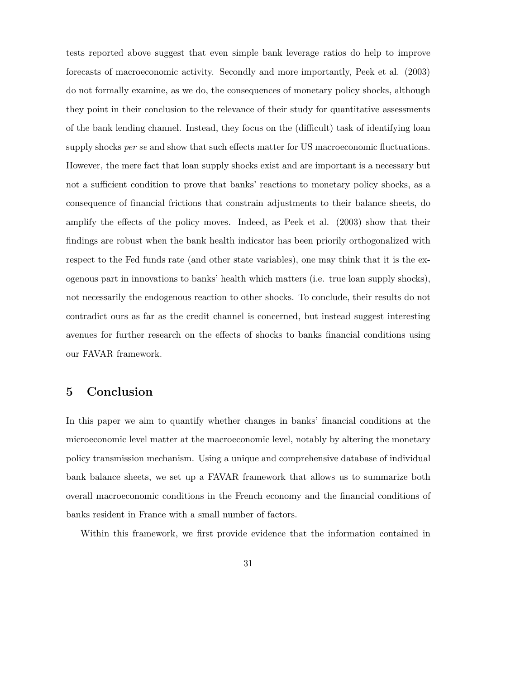tests reported above suggest that even simple bank leverage ratios do help to improve forecasts of macroeconomic activity. Secondly and more importantly, Peek et al. (2003) do not formally examine, as we do, the consequences of monetary policy shocks, although they point in their conclusion to the relevance of their study for quantitative assessments of the bank lending channel. Instead, they focus on the (difficult) task of identifying loan supply shocks *per se* and show that such effects matter for US macroeconomic fluctuations. However, the mere fact that loan supply shocks exist and are important is a necessary but not a sufficient condition to prove that banks' reactions to monetary policy shocks, as a consequence of financial frictions that constrain adjustments to their balance sheets, do amplify the effects of the policy moves. Indeed, as Peek et al. (2003) show that their findings are robust when the bank health indicator has been priorily orthogonalized with respect to the Fed funds rate (and other state variables), one may think that it is the exogenous part in innovations to banks' health which matters (i.e. true loan supply shocks), not necessarily the endogenous reaction to other shocks. To conclude, their results do not contradict ours as far as the credit channel is concerned, but instead suggest interesting avenues for further research on the effects of shocks to banks financial conditions using our FAVAR framework.

### **5 Conclusion**

In this paper we aim to quantify whether changes in banks' financial conditions at the microeconomic level matter at the macroeconomic level, notably by altering the monetary policy transmission mechanism. Using a unique and comprehensive database of individual bank balance sheets, we set up a FAVAR framework that allows us to summarize both overall macroeconomic conditions in the French economy and the financial conditions of banks resident in France with a small number of factors.

Within this framework, we first provide evidence that the information contained in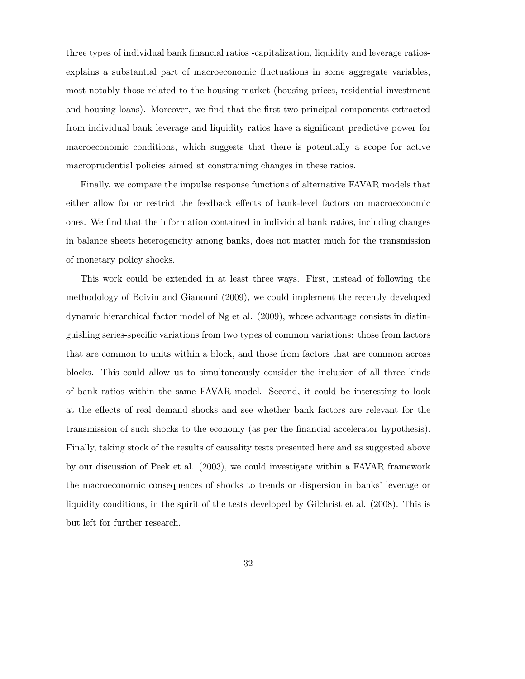three types of individual bank financial ratios -capitalization, liquidity and leverage ratiosexplains a substantial part of macroeconomic fluctuations in some aggregate variables, most notably those related to the housing market (housing prices, residential investment and housing loans). Moreover, we find that the first two principal components extracted from individual bank leverage and liquidity ratios have a significant predictive power for macroeconomic conditions, which suggests that there is potentially a scope for active macroprudential policies aimed at constraining changes in these ratios.

Finally, we compare the impulse response functions of alternative FAVAR models that either allow for or restrict the feedback effects of bank-level factors on macroeconomic ones. We find that the information contained in individual bank ratios, including changes in balance sheets heterogeneity among banks, does not matter much for the transmission of monetary policy shocks.

This work could be extended in at least three ways. First, instead of following the methodology of Boivin and Gianonni (2009), we could implement the recently developed dynamic hierarchical factor model of Ng et al. (2009), whose advantage consists in distinguishing series-specific variations from two types of common variations: those from factors that are common to units within a block, and those from factors that are common across blocks. This could allow us to simultaneously consider the inclusion of all three kinds of bank ratios within the same FAVAR model. Second, it could be interesting to look at the effects of real demand shocks and see whether bank factors are relevant for the transmission of such shocks to the economy (as per the financial accelerator hypothesis). Finally, taking stock of the results of causality tests presented here and as suggested above by our discussion of Peek et al. (2003), we could investigate within a FAVAR framework the macroeconomic consequences of shocks to trends or dispersion in banks' leverage or liquidity conditions, in the spirit of the tests developed by Gilchrist et al. (2008). This is but left for further research.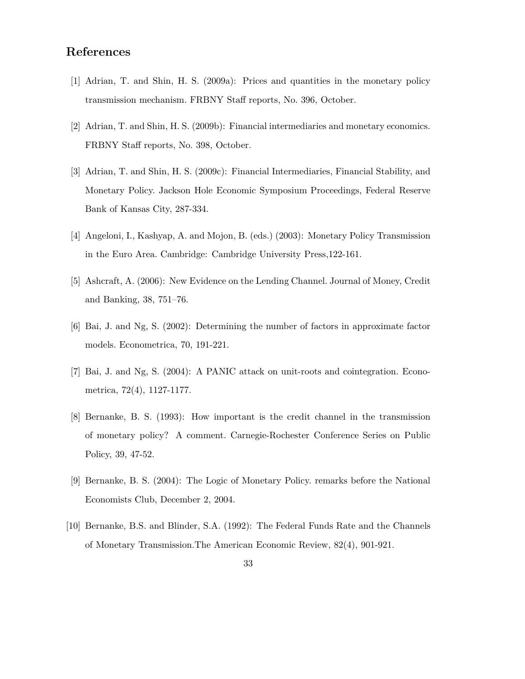## **References**

- [1] Adrian, T. and Shin, H. S. (2009a): Prices and quantities in the monetary policy transmission mechanism. FRBNY Staff reports, No. 396, October.
- [2] Adrian, T. and Shin, H. S. (2009b): Financial intermediaries and monetary economics. FRBNY Staff reports, No. 398, October.
- [3] Adrian, T. and Shin, H. S. (2009c): Financial Intermediaries, Financial Stability, and Monetary Policy. Jackson Hole Economic Symposium Proceedings, Federal Reserve Bank of Kansas City, 287-334.
- [4] Angeloni, I., Kashyap, A. and Mojon, B. (eds.) (2003): Monetary Policy Transmission in the Euro Area. Cambridge: Cambridge University Press,122-161.
- [5] Ashcraft, A. (2006): New Evidence on the Lending Channel. Journal of Money, Credit and Banking, 38, 751–76.
- [6] Bai, J. and Ng, S. (2002): Determining the number of factors in approximate factor models. Econometrica, 70, 191-221.
- [7] Bai, J. and Ng, S. (2004): A PANIC attack on unit-roots and cointegration. Econometrica, 72(4), 1127-1177.
- [8] Bernanke, B. S. (1993): How important is the credit channel in the transmission of monetary policy? A comment. Carnegie-Rochester Conference Series on Public Policy, 39, 47-52.
- [9] Bernanke, B. S. (2004): The Logic of Monetary Policy. remarks before the National Economists Club, December 2, 2004.
- [10] Bernanke, B.S. and Blinder, S.A. (1992): The Federal Funds Rate and the Channels of Monetary Transmission.The American Economic Review, 82(4), 901-921.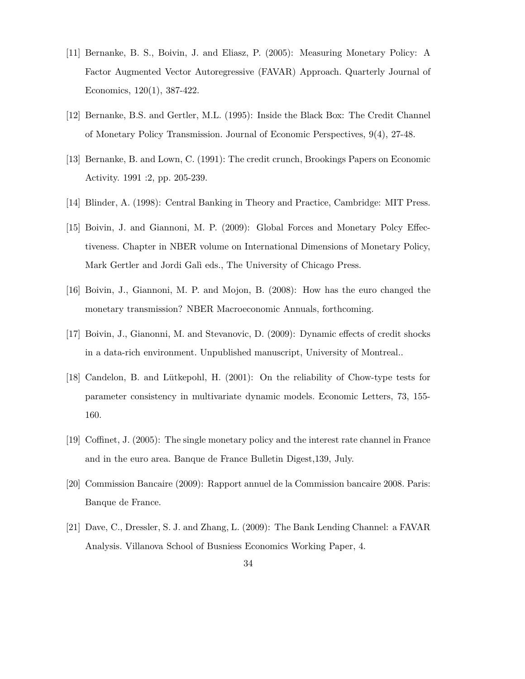- [11] Bernanke, B. S., Boivin, J. and Eliasz, P. (2005): Measuring Monetary Policy: A Factor Augmented Vector Autoregressive (FAVAR) Approach. Quarterly Journal of Economics, 120(1), 387-422.
- [12] Bernanke, B.S. and Gertler, M.L. (1995): Inside the Black Box: The Credit Channel of Monetary Policy Transmission. Journal of Economic Perspectives, 9(4), 27-48.
- [13] Bernanke, B. and Lown, C. (1991): The credit crunch, Brookings Papers on Economic Activity. 1991 :2, pp. 205-239.
- [14] Blinder, A. (1998): Central Banking in Theory and Practice, Cambridge: MIT Press.
- [15] Boivin, J. and Giannoni, M. P. (2009): Global Forces and Monetary Polcy Effectiveness. Chapter in NBER volume on International Dimensions of Monetary Policy, Mark Gertler and Jordi Galì eds., The University of Chicago Press.
- [16] Boivin, J., Giannoni, M. P. and Mojon, B. (2008): How has the euro changed the monetary transmission? NBER Macroeconomic Annuals, forthcoming.
- [17] Boivin, J., Gianonni, M. and Stevanovic, D. (2009): Dynamic effects of credit shocks in a data-rich environment. Unpublished manuscript, University of Montreal..
- [18] Candelon, B. and L¨utkepohl, H. (2001): On the reliability of Chow-type tests for parameter consistency in multivariate dynamic models. Economic Letters, 73, 155- 160.
- [19] Coffinet, J. (2005): The single monetary policy and the interest rate channel in France and in the euro area. Banque de France Bulletin Digest,139, July.
- [20] Commission Bancaire (2009): Rapport annuel de la Commission bancaire 2008. Paris: Banque de France.
- [21] Dave, C., Dressler, S. J. and Zhang, L. (2009): The Bank Lending Channel: a FAVAR Analysis. Villanova School of Busniess Economics Working Paper, 4.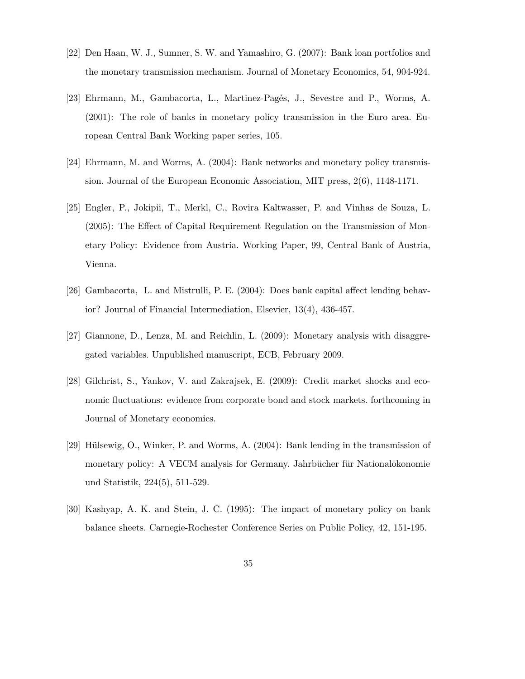- [22] Den Haan, W. J., Sumner, S. W. and Yamashiro, G. (2007): Bank loan portfolios and the monetary transmission mechanism. Journal of Monetary Economics, 54, 904-924.
- [23] Ehrmann, M., Gambacorta, L., Martinez-Pagés, J., Sevestre and P., Worms, A. (2001): The role of banks in monetary policy transmission in the Euro area. European Central Bank Working paper series, 105.
- [24] Ehrmann, M. and Worms, A. (2004): Bank networks and monetary policy transmission. Journal of the European Economic Association, MIT press, 2(6), 1148-1171.
- [25] Engler, P., Jokipii, T., Merkl, C., Rovira Kaltwasser, P. and Vinhas de Souza, L. (2005): The Effect of Capital Requirement Regulation on the Transmission of Monetary Policy: Evidence from Austria. Working Paper, 99, Central Bank of Austria, Vienna.
- [26] Gambacorta, L. and Mistrulli, P. E. (2004): Does bank capital affect lending behavior? Journal of Financial Intermediation, Elsevier, 13(4), 436-457.
- [27] Giannone, D., Lenza, M. and Reichlin, L. (2009): Monetary analysis with disaggregated variables. Unpublished manuscript, ECB, February 2009.
- [28] Gilchrist, S., Yankov, V. and Zakrajsek, E. (2009): Credit market shocks and economic fluctuations: evidence from corporate bond and stock markets. forthcoming in Journal of Monetary economics.
- [29] Hülsewig, O., Winker, P. and Worms, A. (2004): Bank lending in the transmission of monetary policy: A VECM analysis for Germany. Jahrbücher für Nationalökonomie und Statistik, 224(5), 511-529.
- [30] Kashyap, A. K. and Stein, J. C. (1995): The impact of monetary policy on bank balance sheets. Carnegie-Rochester Conference Series on Public Policy, 42, 151-195.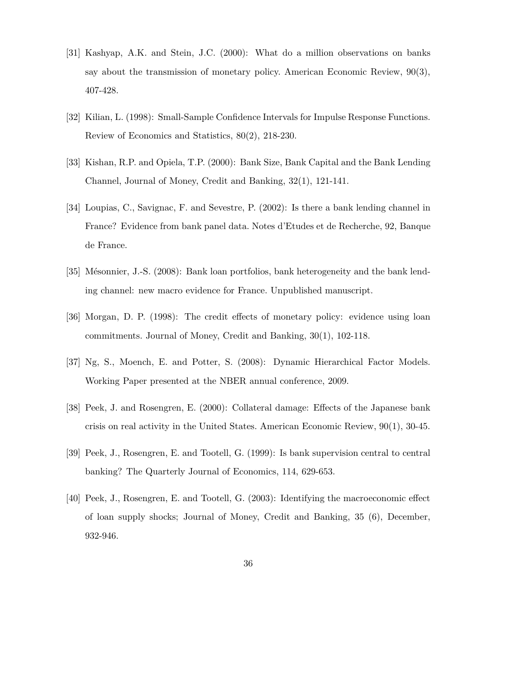- [31] Kashyap, A.K. and Stein, J.C. (2000): What do a million observations on banks say about the transmission of monetary policy. American Economic Review, 90(3), 407-428.
- [32] Kilian, L. (1998): Small-Sample Confidence Intervals for Impulse Response Functions. Review of Economics and Statistics, 80(2), 218-230.
- [33] Kishan, R.P. and Opiela, T.P. (2000): Bank Size, Bank Capital and the Bank Lending Channel, Journal of Money, Credit and Banking, 32(1), 121-141.
- [34] Loupias, C., Savignac, F. and Sevestre, P. (2002): Is there a bank lending channel in France? Evidence from bank panel data. Notes d'Etudes et de Recherche, 92, Banque de France.
- [35] M´esonnier, J.-S. (2008): Bank loan portfolios, bank heterogeneity and the bank lending channel: new macro evidence for France. Unpublished manuscript.
- [36] Morgan, D. P. (1998): The credit effects of monetary policy: evidence using loan commitments. Journal of Money, Credit and Banking, 30(1), 102-118.
- [37] Ng, S., Moench, E. and Potter, S. (2008): Dynamic Hierarchical Factor Models. Working Paper presented at the NBER annual conference, 2009.
- [38] Peek, J. and Rosengren, E. (2000): Collateral damage: Effects of the Japanese bank crisis on real activity in the United States. American Economic Review, 90(1), 30-45.
- [39] Peek, J., Rosengren, E. and Tootell, G. (1999): Is bank supervision central to central banking? The Quarterly Journal of Economics, 114, 629-653.
- [40] Peek, J., Rosengren, E. and Tootell, G. (2003): Identifying the macroeconomic effect of loan supply shocks; Journal of Money, Credit and Banking, 35 (6), December, 932-946.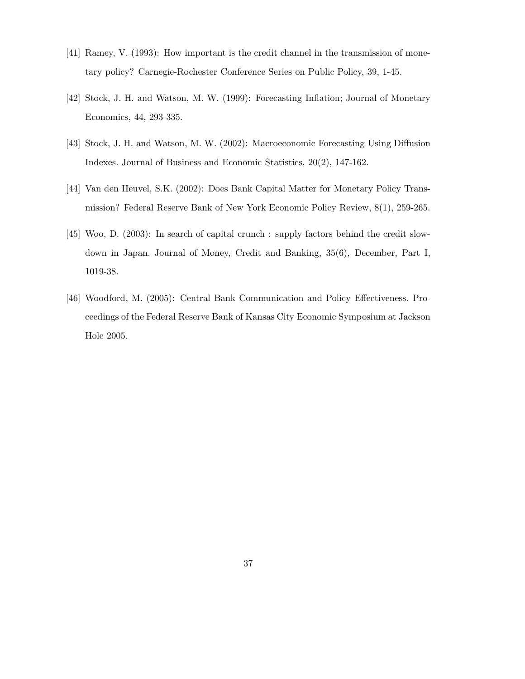- [41] Ramey, V. (1993): How important is the credit channel in the transmission of monetary policy? Carnegie-Rochester Conference Series on Public Policy, 39, 1-45.
- [42] Stock, J. H. and Watson, M. W. (1999): Forecasting Inflation; Journal of Monetary Economics, 44, 293-335.
- [43] Stock, J. H. and Watson, M. W. (2002): Macroeconomic Forecasting Using Diffusion Indexes. Journal of Business and Economic Statistics, 20(2), 147-162.
- [44] Van den Heuvel, S.K. (2002): Does Bank Capital Matter for Monetary Policy Transmission? Federal Reserve Bank of New York Economic Policy Review, 8(1), 259-265.
- [45] Woo, D. (2003): In search of capital crunch : supply factors behind the credit slowdown in Japan. Journal of Money, Credit and Banking, 35(6), December, Part I, 1019-38.
- [46] Woodford, M. (2005): Central Bank Communication and Policy Effectiveness. Proceedings of the Federal Reserve Bank of Kansas City Economic Symposium at Jackson Hole 2005.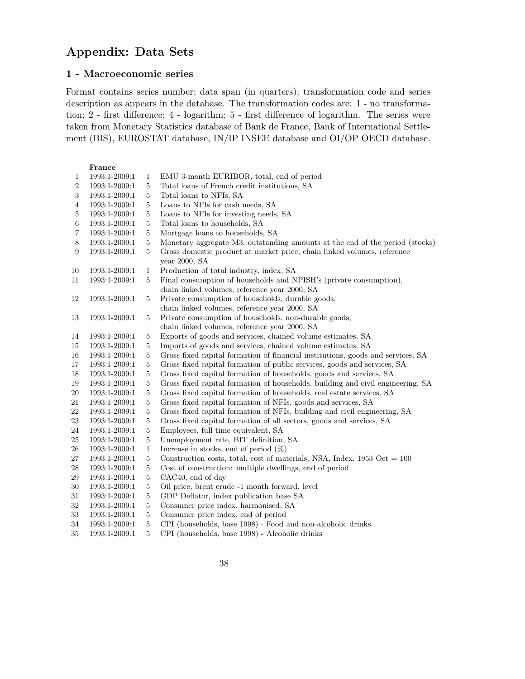# **Appendix: Data Sets**

#### **1 - Macroeconomic series**

Format contains series number; data span (in quarters); transformation code and series description as appears in the database. The transformation codes are: 1 - no transformation; 2 - first difference; 4 - logarithm; 5 - first difference of logarithm. The series were taken from Monetary Statistics database of Bank de France, Bank of International Settlement (BIS), EUROSTAT database, IN/IP INSEE database and OI/OP OECD database.

|                | France        |                |                                                                                          |
|----------------|---------------|----------------|------------------------------------------------------------------------------------------|
| 1              | 1993:1-2009:1 | 1              | EMU 3-month EURIBOR, total, end of period                                                |
| $\overline{2}$ | 1993:1-2009:1 | $\overline{5}$ | Total loans of French credit institutions, SA                                            |
| 3              | 1993:1-2009:1 | $\overline{5}$ | Total loans to NFIs, SA                                                                  |
| 4              | 1993:1-2009:1 | $\bf 5$        | Loans to NFIs for cash needs, SA                                                         |
| 5              | 1993:1-2009:1 | $\bf 5$        | Loans to NFIs for investing needs, SA                                                    |
| 6              | 1993:1-2009:1 | $\bf 5$        | Total loans to households, SA                                                            |
| 7              | 1993:1-2009:1 | $\bf 5$        | Mortgage loans to households, SA                                                         |
| 8              | 1993:1-2009:1 | $\bf 5$        | Monetary aggregate M3, outstanding amounts at the end of the period (stocks)             |
| 9              | 1993:1-2009:1 | $\overline{5}$ | Gross domestic product at market price, chain linked volumes, reference<br>year 2000, SA |
| 10             | 1993:1-2009:1 | $\mathbf{1}$   | Production of total industry, index, SA                                                  |
| 11             | 1993:1-2009:1 | 5              | Final consumption of households and NPISH's (private consumption),                       |
|                |               |                | chain linked volumes, reference year 2000, SA                                            |
| 12             | 1993:1-2009:1 | 5              | Private consumption of households, durable goods,                                        |
|                |               |                | chain linked volumes, reference year 2000, SA                                            |
| 13             | 1993:1-2009:1 | 5              | Private consumption of households, non-durable goods,                                    |
|                |               |                | chain linked volumes, reference year 2000, SA                                            |
| 14             | 1993:1-2009:1 | 5              | Exports of goods and services, chained volume estimates, SA                              |
| 15             | 1993:1-2009:1 | $\bf 5$        | Imports of goods and services, chained volume estimates, SA                              |
| 16             | 1993:1-2009:1 | $\bf 5$        | Gross fixed capital formation of financial institutions, goods and services, SA          |
| 17             | 1993:1-2009:1 | 5              | Gross fixed capital formation of public services, goods and services, SA                 |
| 18             | 1993:1-2009:1 | $\bf 5$        | Gross fixed capital formation of households, goods and services, SA                      |
| 19             | 1993:1-2009:1 | $\bf 5$        | Gross fixed capital formation of households, building and civil engineering, SA          |
| 20             | 1993:1-2009:1 | $\bf 5$        | Gross fixed capital formation of households, real estate services, SA                    |
| 21             | 1993:1-2009:1 | $\bf 5$        | Gross fixed capital formation of NFIs, goods and services, SA                            |
| 22             | 1993:1-2009:1 | 5              | Gross fixed capital formation of NFIs, building and civil engineering, SA                |
| 23             | 1993:1-2009:1 | $\bf 5$        | Gross fixed capital formation of all sectors, goods and services, SA                     |
| 24             | 1993:1-2009:1 | $\overline{5}$ | Employees, full time equivalent, SA                                                      |
| 25             | 1993:1-2009:1 | $\overline{5}$ | Unemployment rate, BIT definition, SA                                                    |
| $26\,$         | 1993:1-2009:1 | $\mathbf{1}$   | Increase in stocks, end of period $(\%)$                                                 |
| 27             | 1993:1-2009:1 | $\bf 5$        | Construction costs, total, cost of materials, NSA, Index, $1953 \text{ Oct} = 100$       |
| 28             | 1993:1-2009:1 | $\bf 5$        | Cost of construction: multiple dwellings, end of period                                  |
| 29             | 1993:1-2009:1 | $\bf 5$        | CAC <sub>40</sub> , end of day                                                           |
| 30             | 1993:1-2009:1 | $\bf 5$        | Oil price, brent crude -1 month forward, level                                           |
| 31             | 1993:1-2009:1 | $\bf 5$        | GDP Deflator, index publication base SA                                                  |
| 32             | 1993:1-2009:1 | 5              | Consumer price index, harmonised, SA                                                     |
| 33             | 1993:1-2009:1 | 5              | Consumer price index, end of period                                                      |
| 34             | 1993:1-2009:1 | $\bf 5$        | CPI (households, base 1998) - Food and non-alcoholic drinks                              |
| 35             | 1993:1-2009:1 | $\overline{5}$ | CPI (households, base 1998) - Alcoholic drinks                                           |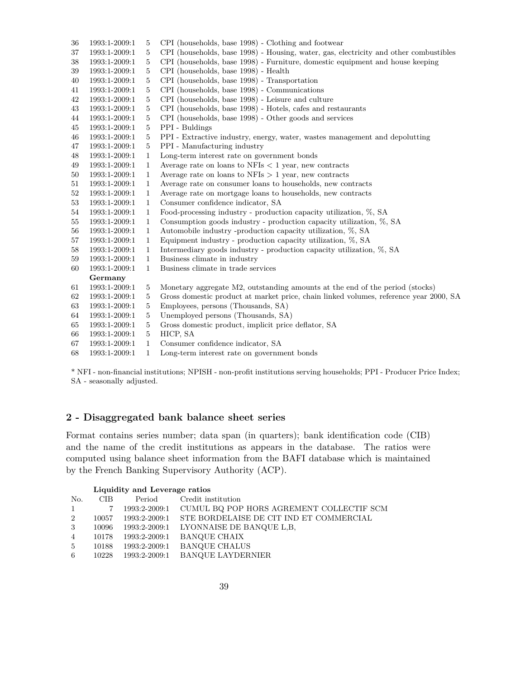| 36 | 1993:1-2009:1   | 5              | CPI (households, base 1998) - Clothing and footwear                                   |  |  |
|----|-----------------|----------------|---------------------------------------------------------------------------------------|--|--|
| 37 | 1993:1-2009:1   | 5              | CPI (households, base 1998) - Housing, water, gas, electricity and other combustibles |  |  |
| 38 | 1993:1-2009:1   | $\overline{5}$ | CPI (households, base 1998) - Furniture, domestic equipment and house keeping         |  |  |
| 39 | 1993:1-2009:1   | 5              | CPI (households, base 1998) - Health                                                  |  |  |
| 40 | 1993:1-2009:1   | 5              | CPI (households, base 1998) - Transportation                                          |  |  |
| 41 | 1993:1-2009:1   | $\overline{5}$ | CPI (households, base 1998) - Communications                                          |  |  |
| 42 | 1993:1-2009:1   | 5              | CPI (households, base 1998) - Leisure and culture                                     |  |  |
| 43 | 1993:1-2009:1   | $\overline{5}$ | CPI (households, base 1998) - Hotels, cafes and restaurants                           |  |  |
| 44 | $1993:1-2009:1$ | $\overline{5}$ | CPI (households, base 1998) - Other goods and services                                |  |  |
| 45 | 1993:1-2009:1   | $\overline{5}$ | PPI - Buldings                                                                        |  |  |
| 46 | 1993:1-2009:1   | $\overline{5}$ | PPI - Extractive industry, energy, water, wastes management and depolutting           |  |  |
| 47 | 1993:1-2009:1   | 5              | PPI - Manufacturing industry                                                          |  |  |
| 48 | 1993:1-2009:1   | $\mathbf{1}$   | Long-term interest rate on government bonds                                           |  |  |
| 49 | 1993:1-2009:1   | $\mathbf{1}$   | Average rate on loans to $NFIs < 1$ year, new contracts                               |  |  |
| 50 | 1993:1-2009:1   | $\mathbf{1}$   | Average rate on loans to $NFIs > 1$ year, new contracts                               |  |  |
| 51 | 1993:1-2009:1   | $\mathbf{1}$   | Average rate on consumer loans to households, new contracts                           |  |  |
| 52 | $1993:1-2009:1$ | 1              | Average rate on mortgage loans to households, new contracts                           |  |  |
| 53 | 1993:1-2009:1   | $\mathbf{1}$   | Consumer confidence indicator, SA                                                     |  |  |
| 54 | 1993:1-2009:1   | $\mathbf{1}$   | Food-processing industry - production capacity utilization, %, SA                     |  |  |
| 55 | 1993:1-2009:1   | $\mathbf{1}$   | Consumption goods industry - production capacity utilization, %, SA                   |  |  |
| 56 | 1993:1-2009:1   | $\mathbf{1}$   | Automobile industry -production capacity utilization, %, SA                           |  |  |
| 57 | 1993:1-2009:1   | 1              | Equipment industry - production capacity utilization, %, SA                           |  |  |
| 58 | 1993:1-2009:1   | 1              | Intermediary goods industry - production capacity utilization, %, SA                  |  |  |
| 59 | 1993:1-2009:1   | $\mathbf{1}$   | Business climate in industry                                                          |  |  |
| 60 | 1993:1-2009:1   | $\mathbf{1}$   | Business climate in trade services                                                    |  |  |
|    | Germany         |                |                                                                                       |  |  |
| 61 | 1993:1-2009:1   | 5              | Monetary aggregate M2, outstanding amounts at the end of the period (stocks)          |  |  |
| 62 | 1993:1-2009:1   | 5              | Gross domestic product at market price, chain linked volumes, reference year 2000, SA |  |  |
| 63 | 1993:1-2009:1   | $\overline{5}$ | Employees, persons (Thousands, SA)                                                    |  |  |
| 64 | 1993:1-2009:1   | $\overline{5}$ | Unemployed persons (Thousands, SA)                                                    |  |  |
| 65 | 1993:1-2009:1   | 5              | Gross domestic product, implicit price deflator, SA                                   |  |  |
| 66 | 1993:1-2009:1   | $\overline{5}$ | HICP, SA                                                                              |  |  |
| 67 | 1993:1-2009:1   | $\mathbf{1}$   | Consumer confidence indicator, SA                                                     |  |  |
| 68 | 1993:1-2009:1   | $\mathbf{1}$   | Long-term interest rate on government bonds                                           |  |  |

\* NFI - non-financial institutions; NPISH - non-profit institutions serving households; PPI - Producer Price Index; SA - seasonally adjusted.

### **2 - Disaggregated bank balance sheet series**

Format contains series number; data span (in quarters); bank identification code (CIB) and the name of the credit institutions as appears in the database. The ratios were computed using balance sheet information from the BAFI database which is maintained by the French Banking Supervisory Authority (ACP).

#### **Liquidity and Leverage ratios**

| No.            | CIB.  | Period | Credit institution                                     |
|----------------|-------|--------|--------------------------------------------------------|
| $\mathbf{1}$   | 7     |        | 1993:2-2009:1 CUMUL BQ POP HORS AGREMENT COLLECTIF SCM |
| 2              | 10057 |        | 1993:2-2009:1 STE BORDELAISE DE CIT IND ET COMMERCIAL  |
| 3              | 10096 |        | 1993:2-2009:1 LYONNAISE DE BANQUE L.B.                 |
| $\overline{4}$ | 10178 |        | 1993:2-2009:1 BANQUE CHAIX                             |
| 5 <sup>5</sup> | 10188 |        | 1993:2-2009:1 BANQUE CHALUS                            |
| -6             | 10228 |        | 1993:2-2009:1 BANQUE LAYDERNIER                        |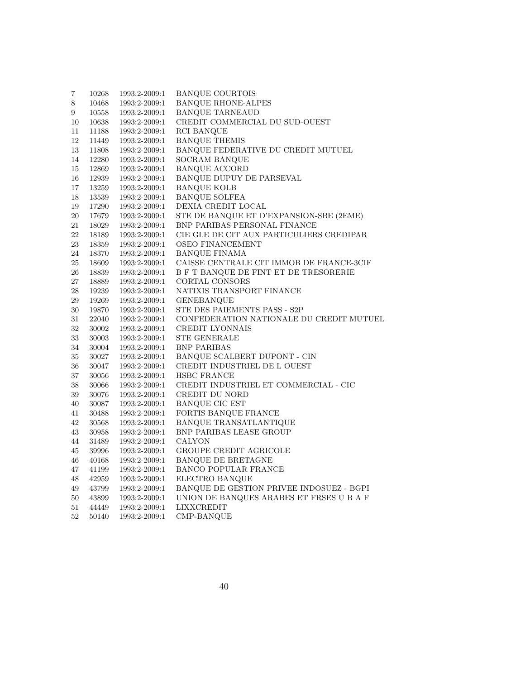| 7      | 10268 | 1993:2-2009:1     | <b>BANQUE COURTOIS</b>                   |
|--------|-------|-------------------|------------------------------------------|
| $8\,$  | 10468 | 1993:2-2009:1     | BANQUE RHONE-ALPES                       |
| 9      | 10558 | 1993:2-2009:1     | BANQUE TARNEAUD                          |
| 10     | 10638 | 1993:2-2009:1     | CREDIT COMMERCIAL DU SUD-OUEST           |
| 11     | 11188 | 1993:2-2009:1     | RCI BANQUE                               |
| 12     | 11449 | 1993:2-2009:1     | <b>BANQUE THEMIS</b>                     |
| 13     | 11808 | 1993:2-2009:1     | BANQUE FEDERATIVE DU CREDIT MUTUEL       |
| 14     | 12280 | 1993:2-2009:1     | SOCRAM BANQUE                            |
| 15     | 12869 | 1993:2-2009:1     | <b>BANQUE ACCORD</b>                     |
| 16     | 12939 | 1993:2-2009:1     | BANQUE DUPUY DE PARSEVAL                 |
| 17     | 13259 | 1993:2-2009:1     | <b>BANQUE KOLB</b>                       |
| 18     | 13539 | 1993:2-2009:1     | <b>BANQUE SOLFEA</b>                     |
| 19     | 17290 | 1993:2-2009:1     | DEXIA CREDIT LOCAL                       |
| 20     | 17679 | 1993:2-2009:1     | STE DE BANQUE ET D'EXPANSION-SBE (2EME)  |
| 21     | 18029 | 1993:2-2009:1     | BNP PARIBAS PERSONAL FINANCE             |
| 22     | 18189 | 1993:2-2009:1     | CIE GLE DE CIT AUX PARTICULIERS CREDIPAR |
| 23     | 18359 | 1993:2-2009:1     | <b>OSEO FINANCEMENT</b>                  |
| 24     | 18370 | 1993:2-2009:1     | <b>BANQUE FINAMA</b>                     |
| 25     | 18609 | $1993:2 - 2009:1$ | CAISSE CENTRALE CIT IMMOB DE FRANCE-3CIF |
| 26     | 18839 | 1993:2-2009:1     | B F T BANQUE DE FINT ET DE TRESORERIE    |
| 27     | 18889 | 1993:2-2009:1     | CORTAL CONSORS                           |
| 28     | 19239 | 1993:2-2009:1     | NATIXIS TRANSPORT FINANCE                |
| 29     | 19269 | 1993:2-2009:1     | <b>GENEBANQUE</b>                        |
| $30\,$ | 19870 | 1993:2-2009:1     | STE DES PAIEMENTS PASS - S2P             |
| 31     | 22040 | 1993:2-2009:1     | CONFEDERATION NATIONALE DU CREDIT MUTUEL |
| 32     | 30002 | 1993:2-2009:1     | CREDIT LYONNAIS                          |
| 33     | 30003 | 1993:2-2009:1     | <b>STE GENERALE</b>                      |
| 34     | 30004 | 1993:2-2009:1     | <b>BNP PARIBAS</b>                       |
| 35     | 30027 | 1993:2-2009:1     | BANQUE SCALBERT DUPONT - CIN             |
| 36     | 30047 | 1993:2-2009:1     | CREDIT INDUSTRIEL DE L OUEST             |
| 37     | 30056 | 1993:2-2009:1     | HSBC FRANCE                              |
| 38     | 30066 | 1993:2-2009:1     | CREDIT INDUSTRIEL ET COMMERCIAL - CIC    |
| 39     | 30076 | 1993:2-2009:1     | CREDIT DU NORD                           |
| 40     | 30087 | 1993:2-2009:1     | BANQUE CIC EST                           |
| 41     | 30488 | 1993:2-2009:1     | FORTIS BANQUE FRANCE                     |
| 42     | 30568 | 1993:2-2009:1     | BANQUE TRANSATLANTIQUE                   |
| 43     | 30958 | 1993:2-2009:1     | BNP PARIBAS LEASE GROUP                  |
| 44     | 31489 | 1993:2-2009:1     | CALYON                                   |
| 45     | 39996 | 1993:2-2009:1     | GROUPE CREDIT AGRICOLE                   |
| 46     | 40168 | 1993:2-2009:1     | <b>BANQUE DE BRETAGNE</b>                |
| 47     | 41199 | 1993:2-2009:1     | BANCO POPULAR FRANCE                     |
| 48     | 42959 | 1993:2-2009:1     | ELECTRO BANQUE                           |
| 49     | 43799 | 1993:2-2009:1     | BANQUE DE GESTION PRIVEE INDOSUEZ - BGPI |
| 50     | 43899 | 1993:2-2009:1     | UNION DE BANQUES ARABES ET FRSES U B A F |
| 51     | 44449 | 1993:2-2009:1     | LIXXCREDIT                               |
| $52\,$ | 50140 | 1993:2-2009:1     | CMP-BANQUE                               |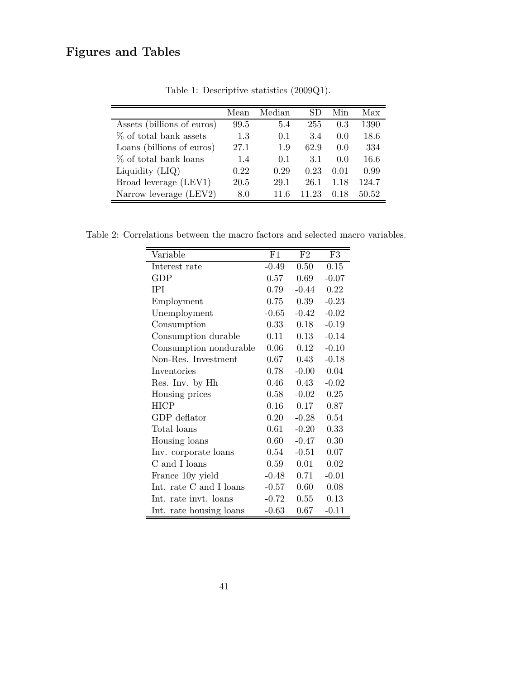# **Figures and Tables**

Ĭ.

|                            | Mean | Median | SD    | Min  | Max   |
|----------------------------|------|--------|-------|------|-------|
| Assets (billions of euros) | 99.5 | 5.4    | 255   | 0.3  | 1390  |
| $%$ of total bank assets   | 1.3  | 0.1    | 3.4   | 0.0  | 18.6  |
| Loans (billions of euros)  | 27.1 | 1.9    | 62.9  | 0.0  | 334   |
| % of total bank loans      | 1.4  | 0.1    | 3.1   | 0.0  | 16.6  |
| Liquidity $(LIQ)$          | 0.22 | 0.29   | 0.23  | 0.01 | 0.99  |
| Broad leverage (LEV1)      | 20.5 | 29.1   | 26.1  | 1.18 | 124.7 |
| Narrow leverage (LEV2)     | 8.0  | 11.6   | 11.23 | 0.18 | 50.52 |

Table 1: Descriptive statistics (2009Q1).

Table 2: Correlations between the macro factors and selected macro variables.

| Variable                | F1             | $\overline{F2}$ | F3      |
|-------------------------|----------------|-----------------|---------|
| Interest rate           | $-0.49$        | 0.50            | 0.15    |
| GDP                     | 0.57           | 0.69            | $-0.07$ |
| <b>IPI</b>              | 0.79           | $-0.44$         | 0.22    |
| Employment              | 0.75           | 0.39            | $-0.23$ |
| Unemployment            | $-0.65$        | $-0.42$         | $-0.02$ |
| Consumption             | 0.33           | 0.18            | $-0.19$ |
| Consumption durable     | 0.11           | 0.13            | $-0.14$ |
| Consumption nondurable  | 0.06           | 0.12            | $-0.10$ |
| Non-Res. Investment     | 0.67           | 0.43            | $-0.18$ |
| Inventories             | 0.78           | $-0.00$         | 0.04    |
| Res. Inv. by Hh         | 0.46           | 0.43            | $-0.02$ |
| Housing prices          | 0.58           | $-0.02$         | 0.25    |
| <b>HICP</b>             | 0.16           | 0.17            | 0.87    |
| GDP deflator            | $0.20^{\circ}$ | $-0.28$         | 0.54    |
| Total loans             | 0.61           | $-0.20$         | 0.33    |
| Housing loans           | 0.60           | $-0.47$         | 0.30    |
| Inv. corporate loans    | 0.54           | $-0.51$         | 0.07    |
| C and I loans           | 0.59           | 0.01            | 0.02    |
| France 10y yield        | $-0.48$        | 0.71            | $-0.01$ |
| Int. rate C and I loans | $-0.57$        | 0.60            | 0.08    |
| Int. rate invt. loans   | $-0.72$        | 0.55            | 0.13    |
| Int. rate housing loans | $-0.63$        | 0.67            | $-0.11$ |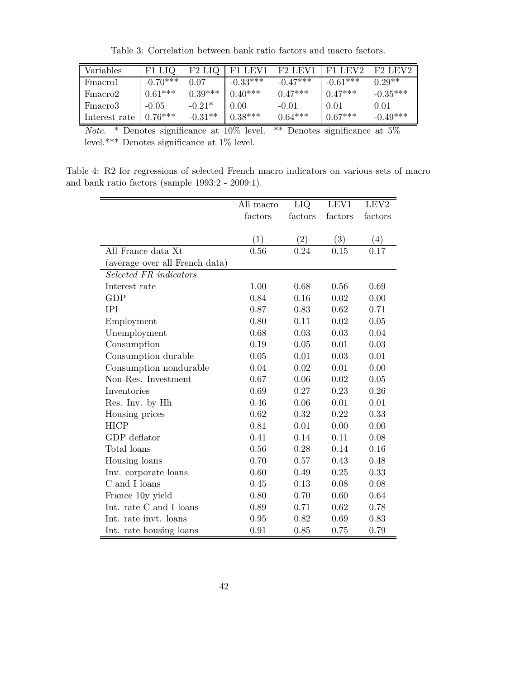| Variables     | F1 LIQ     | F2 LIQ    | F1 LEV1    | <b>F2 LEV1 1</b> | $F1$ LEV2  | $F2$ LEV2  |
|---------------|------------|-----------|------------|------------------|------------|------------|
| Fmacro1       | $-0.70***$ | 0.07      | $-0.33***$ | $-0.47***$       | $-0.61***$ | $0.29**$   |
| Fmacro2       | $0.61***$  | $0.39***$ | $0.40***$  | $0.47***$        | $0.47***$  | $-0.35***$ |
| Fmacro3       | $-0.05$    | $-0.21*$  | 0.00       | $-0.01$          | 0.01       | 0.01       |
| Interest rate | $0.76***$  | $-0.31**$ | $0.38***$  | $0.64***$        | $0.67***$  | $-0.49***$ |

Table 3: Correlation between bank ratio factors and macro factors.

*Note*. \* Denotes significance at 10% level. \*\* Denotes significance at 5% level.\*\*\* Denotes significance at 1% level.

Table 4: R2 for regressions of selected French macro indicators on various sets of macro and bank ratio factors (sample 1993:2 - 2009:1).

|                                | All macro         | LIQ               | LEV1    | LEV <sub>2</sub>  |
|--------------------------------|-------------------|-------------------|---------|-------------------|
|                                | factors           | factors           | factors | factors           |
|                                |                   |                   |         |                   |
|                                | (1)               | $\left( 2\right)$ | (3)     | $\left( 4\right)$ |
| All France data Xt             | $\overline{0.56}$ | 0.24              | 0.15    | 0.17              |
| (average over all French data) |                   |                   |         |                   |
| Selected FR indicators         |                   |                   |         |                   |
| Interest rate                  | 1.00              | 0.68              | 0.56    | 0.69              |
| <b>GDP</b>                     | 0.84              | 0.16              | 0.02    | 0.00              |
| <b>IPI</b>                     | 0.87              | 0.83              | 0.62    | 0.71              |
| Employment                     | 0.80              | 0.11              | 0.02    | 0.05              |
| Unemployment                   | 0.68              | 0.03              | 0.03    | 0.04              |
| Consumption                    | 0.19              | 0.05              | 0.01    | 0.03              |
| Consumption durable            | 0.05              | 0.01              | 0.03    | 0.01              |
| Consumption nondurable         | 0.04              | 0.02              | 0.01    | 0.00              |
| Non-Res. Investment            | 0.67              | 0.06              | 0.02    | 0.05              |
| Inventories                    | 0.69              | 0.27              | 0.23    | 0.26              |
| Res. Inv. by Hh                | 0.46              | 0.06              | 0.01    | 0.01              |
| Housing prices                 | 0.62              | 0.32              | 0.22    | 0.33              |
| <b>HICP</b>                    | 0.81              | 0.01              | 0.00    | 0.00              |
| GDP deflator                   | 0.41              | 0.14              | 0.11    | 0.08              |
| Total loans                    | 0.56              | 0.28              | 0.14    | 0.16              |
| Housing loans                  | 0.70              | 0.57              | 0.43    | 0.48              |
| Inv. corporate loans           | 0.60              | 0.49              | 0.25    | 0.33              |
| C and I loans                  | 0.45              | 0.13              | 0.08    | 0.08              |
| France 10y yield               | 0.80              | 0.70              | 0.60    | 0.64              |
| Int. rate C and I loans        | 0.89              | 0.71              | 0.62    | 0.78              |
| Int. rate invt. loans          | 0.95              | 0.82              | 0.69    | 0.83              |
| Int. rate housing loans        | 0.91              | 0.85              | 0.75    | 0.79              |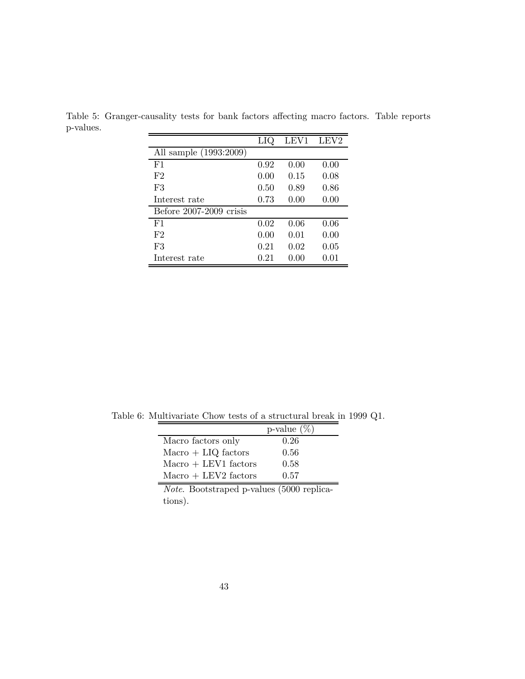|                         | LIQ  | LEV1 | LEV <sub>2</sub> |
|-------------------------|------|------|------------------|
| All sample (1993:2009)  |      |      |                  |
| F1                      | 0.92 | 0.00 | 0.00             |
| F2                      | 0.00 | 0.15 | 0.08             |
| F3                      | 0.50 | 0.89 | 0.86             |
| Interest rate           | 0.73 | 0.00 | 0.00             |
| Before 2007-2009 crisis |      |      |                  |
| F1                      | 0.02 | 0.06 | 0.06             |
| F <sub>2</sub>          | 0.00 | 0.01 | 0.00             |
| F3                      | 0.21 | 0.02 | 0.05             |
| Interest rate           | 0.21 | 0.00 | 0.01             |

Table 5: Granger-causality tests for bank factors affecting macro factors. Table reports p-values.

Table 6: Multivariate Chow tests of a structural break in 1999 Q1.

|                                     | p-value $(\%)$ |
|-------------------------------------|----------------|
| Macro factors only                  | 0.26           |
| $\text{Macc} + \text{LIQ}$ factors  | 0.56           |
| $\text{Macc} + \text{LEV1 factors}$ | 0.58           |
| $Macco + LEV2 factors$              | 0.57           |

*Note*. Bootstraped p-values (5000 replications).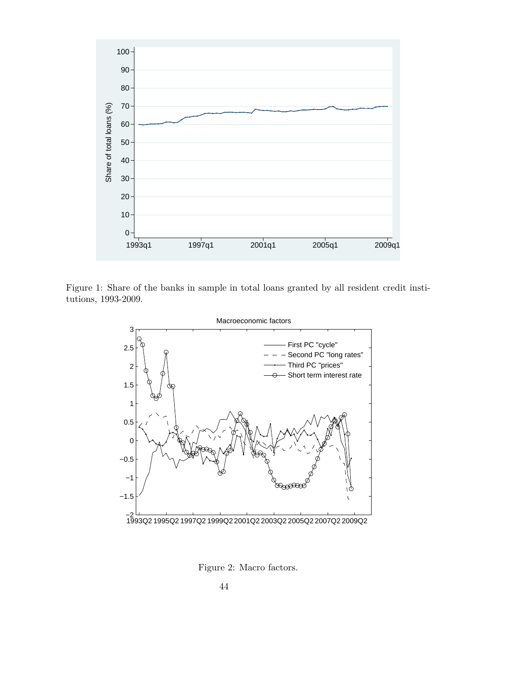

Figure 1: Share of the banks in sample in total loans granted by all resident credit institutions, 1993-2009.



Figure 2: Macro factors.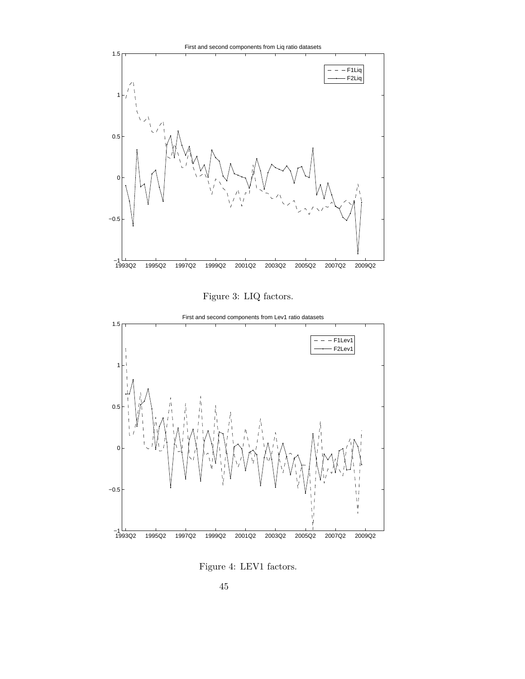

Figure 3: LIQ factors.



Figure 4: LEV1 factors.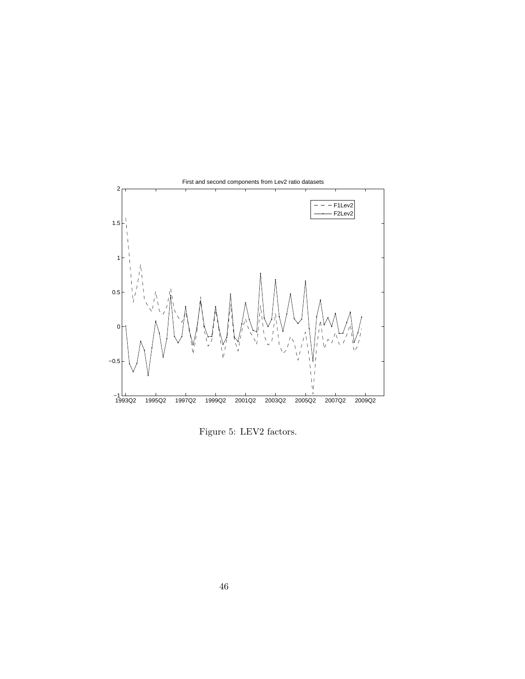

Figure 5: LEV2 factors.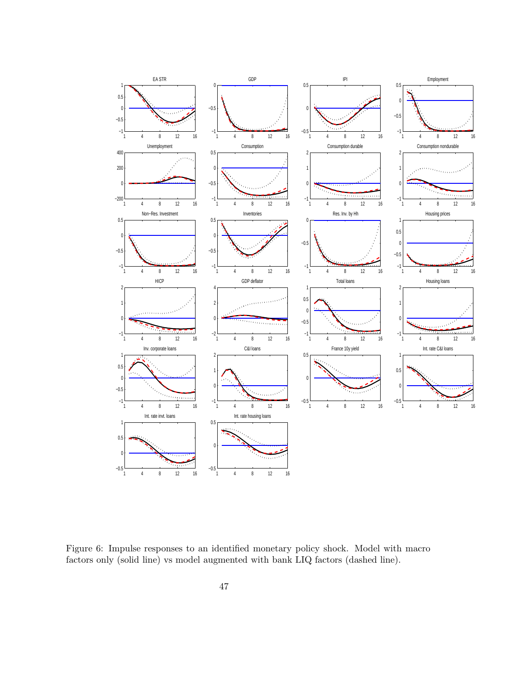

Figure 6: Impulse responses to an identified monetary policy shock. Model with macro factors only (solid line) vs model augmented with bank LIQ factors (dashed line).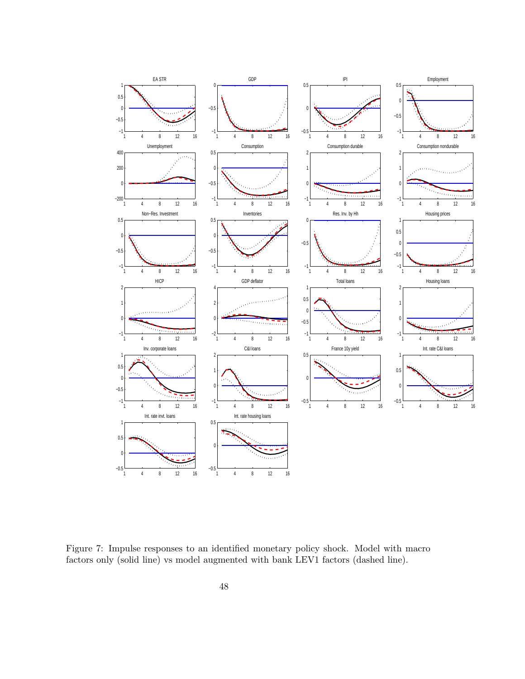

Figure 7: Impulse responses to an identified monetary policy shock. Model with macro factors only (solid line) vs model augmented with bank LEV1 factors (dashed line).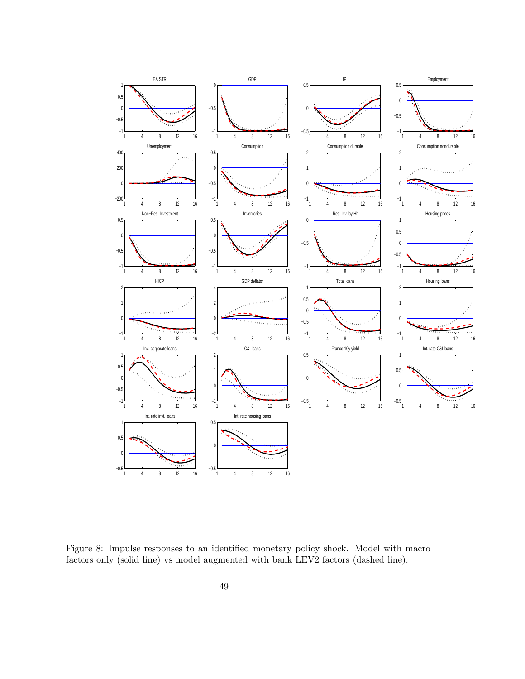

Figure 8: Impulse responses to an identified monetary policy shock. Model with macro factors only (solid line) vs model augmented with bank LEV2 factors (dashed line).